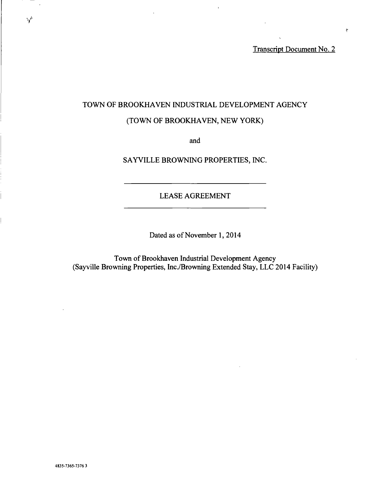Transcript Document No. 2

# TOWN OF BROOKHAVEN INDUSTRIAL DEVELOPMENT AGENCY

 $\overline{1}$ 

# (TOWN OF BROOKHAVEN, NEW YORK)

and

SAYVILLE BROWNING PROPERTIES, INC.

LEASE AGREEMENT

Dated as of November 1, 2014

Town of Brookhaven Industrial Development Agency (Sayville Browning Properties, Inc. /Browning Extended Stay, LLC 2014 Facility)

 $\overline{\phantom{a}}$ 

 $\Delta^{\mu}$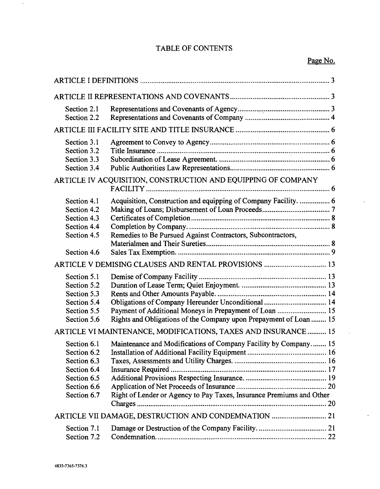# TABLE OF CONTENTS

# Page No.

 $\mathcal{L}$ 

 $\mathbf{A}$ 

| Section 2.1<br>Section 2.2                                                                            |                                                                                                                                                                                   |
|-------------------------------------------------------------------------------------------------------|-----------------------------------------------------------------------------------------------------------------------------------------------------------------------------------|
|                                                                                                       |                                                                                                                                                                                   |
| Section 3.1<br>Section 3.2<br>Section 3.3<br>Section 3.4                                              | ARTICLE IV ACQUISITION, CONSTRUCTION AND EQUIPPING OF COMPANY                                                                                                                     |
|                                                                                                       |                                                                                                                                                                                   |
| Section 4.1<br>Section 4.2<br>Section 4.3<br>Section 4.4<br>Section 4.5                               | Acquisition, Construction and equipping of Company Facility.  6<br>Remedies to Be Pursued Against Contractors, Subcontractors,                                                    |
| Section 4.6                                                                                           |                                                                                                                                                                                   |
|                                                                                                       | ARTICLE V DEMISING CLAUSES AND RENTAL PROVISIONS  13                                                                                                                              |
| Section 5.1<br>Section 5.2<br>Section 5.3<br>Section 5.4<br>Section 5.5<br>Section 5.6                | Obligations of Company Hereunder Unconditional  14<br>Payment of Additional Moneys in Prepayment of Loan  15<br>Rights and Obligations of the Company upon Prepayment of Loan  15 |
|                                                                                                       | ARTICLE VI MAINTENANCE, MODIFICATIONS, TAXES AND INSURANCE  15                                                                                                                    |
| Section 6.1<br>Section 6.2<br>Section 6.3<br>Section 6.4<br>Section 6.5<br>Section 6.6<br>Section 6.7 | Maintenance and Modifications of Company Facility by Company 15<br>Right of Lender or Agency to Pay Taxes, Insurance Premiums and Other                                           |
|                                                                                                       | ARTICLE VII DAMAGE, DESTRUCTION AND CONDEMNATION  21                                                                                                                              |
| Section 7.1<br>Section 7.2                                                                            |                                                                                                                                                                                   |

 $\bar{\phantom{a}}$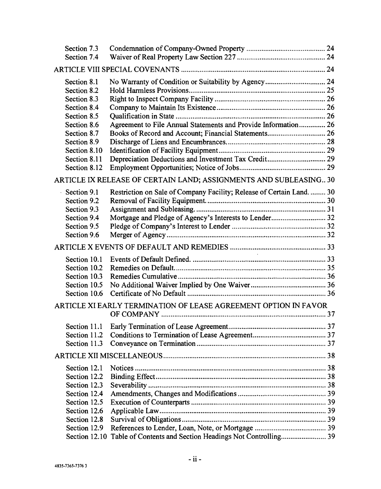| Section 7.3   |                                                                       |  |
|---------------|-----------------------------------------------------------------------|--|
| Section 7.4   |                                                                       |  |
|               |                                                                       |  |
| Section 8.1   |                                                                       |  |
| Section 8.2   |                                                                       |  |
| Section 8.3   |                                                                       |  |
| Section 8.4   |                                                                       |  |
| Section 8.5   |                                                                       |  |
| Section 8.6   | Agreement to File Annual Statements and Provide Information 26        |  |
| Section 8.7   | Books of Record and Account; Financial Statements 26                  |  |
| Section 8.9   |                                                                       |  |
| Section 8.10  |                                                                       |  |
| Section 8.11  |                                                                       |  |
| Section 8.12  |                                                                       |  |
|               | ARTICLE IX RELEASE OF CERTAIN LAND; ASSIGNMENTS AND SUBLEASING 30     |  |
| Section 9.1   | Restriction on Sale of Company Facility; Release of Certain Land.  30 |  |
| Section 9.2   |                                                                       |  |
| Section 9.3   |                                                                       |  |
| Section 9.4   | Mortgage and Pledge of Agency's Interests to Lender 32                |  |
| Section 9.5   |                                                                       |  |
| Section 9.6   |                                                                       |  |
|               |                                                                       |  |
| Section 10.1  |                                                                       |  |
| Section 10.2  |                                                                       |  |
| Section 10.3  |                                                                       |  |
| Section 10.5  |                                                                       |  |
| Section 10.6  |                                                                       |  |
|               |                                                                       |  |
|               | ARTICLE XI EARLY TERMINATION OF LEASE AGREEMENT OPTION IN FAVOR       |  |
| Section 11.1  |                                                                       |  |
| Section 11.2  |                                                                       |  |
| Section 11.3  |                                                                       |  |
|               |                                                                       |  |
|               |                                                                       |  |
| Section 12.1  |                                                                       |  |
| Section 12.2  |                                                                       |  |
| Section 12.3  |                                                                       |  |
| Section 12.4  |                                                                       |  |
| Section 12.5  |                                                                       |  |
| Section 12.6  |                                                                       |  |
| Section 12.8  |                                                                       |  |
| Section 12.9  |                                                                       |  |
| Section 12.10 |                                                                       |  |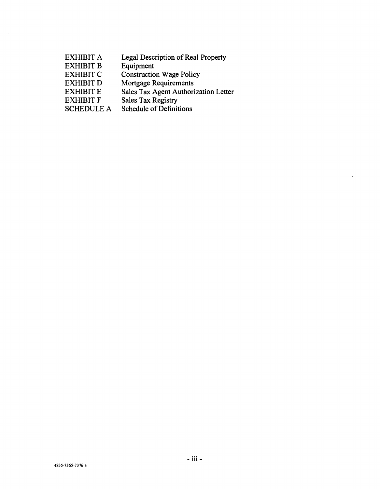- EXHIBIT A Legal Description of Real Property
- EXHIBIT B Equipment

 $\bar{1}$ 

- EXHIBIT C Construction Wage Policy
- EXHIBIT D Mortgage Requirements
- EXHIBIT E Sales Tax Agent Authorization Letter
- EXHIBIT F Sales Tax Registry
- SCHEDULE A Schedule of Definitions

 $\ddot{\phantom{a}}$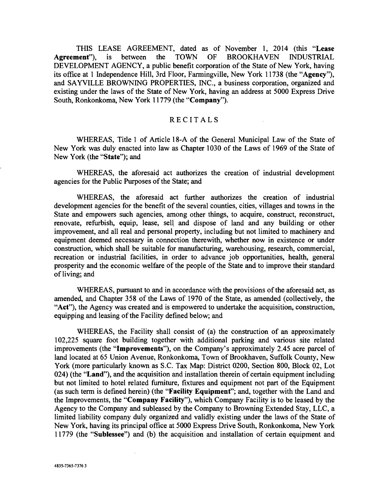THIS LEASE AGREEMENT, dated as of November 1, 2014 (this "Lease Agreement"), is between the TOWN OF BROOKHAVEN INDUSTRIAL DEVELOPMENT AGENCY, a public benefit corporation of the State of New York, having its office at 1 Independence Hill, 3rd Floor, Farmingville, New York 11738 (the "Agency"), and SAYVILLE BROWNING PROPERTIES, INC., a business corporation, organized and existing under the laws of the State of New York, having an address at 5000 Express Drive South, Ronkonkoma, New York 11779 (the "Company").

## RECITALS

WHEREAS, Title 1 of Article 18-A of the General Municipal Law of the State of New York was duly enacted into law as Chapter 1030 of the Laws of 1969 of the State of New York (the "State"); and

WHEREAS, the aforesaid act authorizes the creation of industrial development agencies for the Public Purposes of the State; and

WHEREAS, the aforesaid act further authorizes the creation of industrial development agencies for the benefit of the several counties, cities, villages and towns in the State and empowers such agencies, among other things, to acquire, construct, reconstruct, renovate, refurbish, equip, lease, sell and dispose of land and any building or other improvement, and all real and personal property, including but not limited to machinery and equipment deemed necessary in connection therewith, whether now in existence or under construction, which shall be suitable for manufacturing, warehousing, research, commercial, recreation or industrial facilities, in order to advance job opportunities, health, general prosperity and the economic welfare of the people of the State and to improve their standard of living; and

WHEREAS, pursuant to and in accordance with the provisions of the aforesaid act, as amended, and Chapter 358 of the Laws of 1970 of the State, as amended (collectively, the "Act"), the Agency was created and is empowered to undertake the acquisition, construction, equipping and leasing of the Facility defined below; and

WHEREAS, the Facility shall consist of (a) the construction of an approximately 102,225 square foot building together with additional parking and various site related improvements (the "Improvements "), on the Company's approximately 2.45 acre parcel of land located at 65 Union Avenue, Ronkonkoma, Town of Brookhaven, Suffolk County, New York (more particularly known as S.C. Tax Map: District 0200, Section 800, Block 02, Lot 024) (the "Land"), and the acquisition and installation therein of certain equipment including but not limited to hotel related furniture, fixtures and equipment not part of the Equipment (as such term is defined herein) (the "Facility Equipment"; and, together with the Land and the Improvements, the "Company Facility "), which Company Facility is to be leased by the Agency to the Company and subleased by the Company to Browning Extended Stay, LLC, a limited liability company duly organized and validly existing under the laws of the State of New York, having its principal office at 5000 Express Drive South, Ronkonkoma, New York 11779 (the "Sublessee") and (b) the acquisition and installation of certain equipment and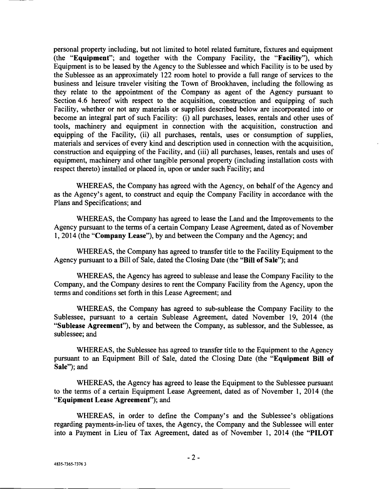personal property including, but not limited to hotel related furniture, fixtures and equipment (the "Equipment"; and together with the Company Facility, the "Facility"), which Equipment is to be leased by the Agency to the Sublessee and which Facility is to be used by the Sublessee as an approximately 122 room hotel to provide a full range of services to the business and leisure traveler visiting the Town of Brookhaven, including the following as they relate to the appointment of the Company as agent of the Agency pursuant to Section 4.6 hereof with respect to the acquisition, construction and equipping of such Facility, whether or not any materials or supplies described below are incorporated into or become an integral part of such Facility: (i) all purchases, leases, rentals and other uses of tools, machinery and equipment in connection with the acquisition, construction and equipping of the Facility, (ii) all purchases, rentals, uses or consumption of supplies, materials and services of every kind and description used in connection with the acquisition, construction and equipping of the Facility, and (iii) all purchases, leases, rentals and uses of equipment, machinery and other tangible personal property (including installation costs with respect thereto) installed or placed in, upon or under such Facility; and

WHEREAS, the Company has agreed with the Agency, on behalf of the Agency and as the Agency's agent, to construct and equip the Company Facility in accordance with the Plans and Specifications; and

WHEREAS, the Company has agreed to lease the Land and the Improvements to the Agency pursuant to the terms of a certain Company Lease Agreement, dated as of November 1, 2014 (the "Company Lease"), by and between the Company and the Agency; and

WHEREAS, the Company has agreed to transfer title to the Facility Equipment to the Agency pursuant to a Bill of Sale, dated the Closing Date (the "Bill of Sale"); and

WHEREAS, the Agency has agreed to sublease and lease the Company Facility to the Company, and the Company desires to rent the Company Facility from the Agency, upon the terms and conditions set forth in this Lease Agreement; and

WHEREAS, the Company has agreed to sub-sublease the Company Facility to the Sublessee, pursuant to a certain Sublease Agreement, dated November 19, 2014 (the "Sublease Agreement"), by and between the Company, as sublessor, and the Sublessee, as sublessee; and

WHEREAS, the Sublessee has agreed to transfer title to the Equipment to the Agency pursuant to an Equipment Bill of Sale, dated the Closing Date (the "Equipment Bill of Sale"); and

WHEREAS, the Agency has agreed to lease the Equipment to the Sublessee pursuant to the terms of a certain Equipment Lease Agreement, dated as of November 1, 2014 (the "Equipment Lease Agreement"); and

WHEREAS, in order to define the Company's and the Sublessee's obligations regarding payments -in -lieu of taxes, the Agency, the Company and the Sublessee will enter into a Payment in Lieu of Tax Agreement, dated as of November 1, 2014 (the "PILOT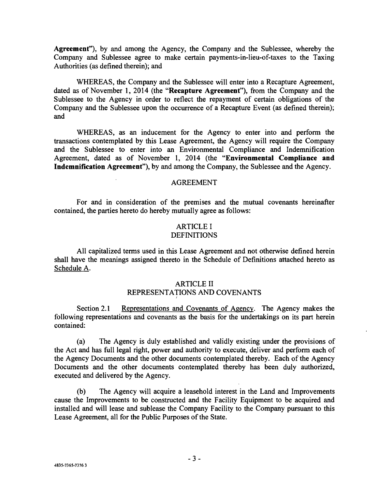Agreement"), by and among the Agency, the Company and the Sublessee, whereby the Company and Sublessee agree to make certain payments-in-lieu-of-taxes to the Taxing Authorities (as defined therein); and

WHEREAS, the Company and the Sublessee will enter into a Recapture Agreement, dated as of November 1, 2014 (the "Recapture Agreement"), from the Company and the Sublessee to the Agency in order to reflect the repayment of certain obligations of the Company and the Sublessee upon the occurrence of a Recapture Event (as defined therein); and

WHEREAS, as an inducement for the Agency to enter into and perform the transactions contemplated by this Lease Agreement, the Agency will require the Company and the Sublessee to enter into an Environmental Compliance and Indemnification Agreement, dated as of November 1, 2014 (the "Environmental Compliance and Indemnification Agreement"), by and among the Company, the Sublessee and the Agency.

#### AGREEMENT

For and in consideration of the premises and the mutual covenants hereinafter contained, the parties hereto do hereby mutually agree as follows:

# ARTICLE I

# **DEFINITIONS**

All capitalized terms used in this Lease Agreement and not otherwise defined herein shall have the meanings assigned thereto in the Schedule of Definitions attached hereto as Schedule A.

# ARTICLE II REPRESENTATIONS AND COVENANTS

Section 2.1 Representations and Covenants of Agency. The Agency makes the following representations and covenants as the basis for the undertakings on its part herein contained:

(a) The Agency is duly established and validly existing under the provisions of the Act and has full legal right, power and authority to execute, deliver and perform each of the Agency Documents and the other documents contemplated thereby. Each of the Agency Documents and the other documents contemplated thereby has been duly authorized, executed and delivered by the Agency.

(b) The Agency will acquire a leasehold interest in the Land and Improvements cause the Improvements to be constructed and the Facility Equipment to be acquired and installed and will lease and sublease the Company Facility to the Company pursuant to this Lease Agreement, all for the Public Purposes of the State.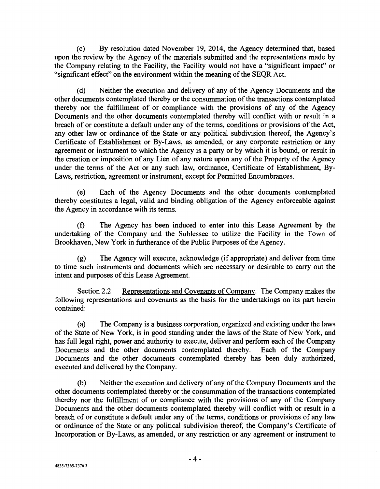(c) By resolution dated November 19, 2014, the Agency determined that, based upon the review by the Agency of the materials submitted and the representations made by the Company relating to the Facility, the Facility would not have a "significant impact" or "significant effect" on the environment within the meaning of the SEQR Act.

(d) Neither the execution and delivery of any of the Agency Documents and the other documents contemplated thereby or the consummation of the transactions contemplated thereby nor the fulfillment of or compliance with the provisions of any of the Agency Documents and the other documents contemplated thereby will conflict with or result in a breach of or constitute a default under any of the terms, conditions or provisions of the Act, any other law or ordinance of the State or any political subdivision thereof, the Agency's Certificate of Establishment or By-Laws, as amended, or any corporate restriction or any agreement or instrument to which the Agency is a party or by which it is bound, or result in the creation or imposition of any Lien of any nature upon any of the Property of the Agency under the terms of the Act or any such law, ordinance, Certificate of Establishment, By-Laws, restriction, agreement or instrument, except for Permitted Encumbrances.

(e) Each of the Agency Documents and the other documents contemplated thereby constitutes a legal, valid and binding obligation of the Agency enforceable against the Agency in accordance with its terms.

(f) The Agency has been induced to enter into this Lease Agreement by the undertaking of the Company and the Sublessee to utilize the Facility in the Town of Brookhaven, New York in furtherance of the Public Purposes of the Agency.

(g) The Agency will execute, acknowledge (if appropriate) and deliver from time to time such instruments and documents which are necessary or desirable to carry out the intent and purposes of this Lease Agreement.

Section 2.2 Representations and Covenants of Company. The Company makes the following representations and covenants as the basis for the undertakings on its part herein contained:

(a) The Company is a business corporation, organized and existing under the laws of the State of New York, is in good standing under the laws of the State of New York, and has full legal right, power and authority to execute, deliver and perform each of the Company Documents and the other documents contemplated thereby. Each of the Company Documents and the other documents contemplated thereby has been duly authorized, executed and delivered by the Company.

(b) Neither the execution and delivery of any of the Company Documents and the other documents contemplated thereby or the consummation of the transactions contemplated thereby nor the fulfillment of or compliance with the provisions of any of the Company Documents and the other documents contemplated thereby will conflict with or result in a breach of or constitute a default under any of the terms, conditions or provisions of any law or ordinance of the State or any political subdivision thereof, the Company's Certificate of Incorporation or By -Laws, as amended, or any restriction or any agreement or instrument to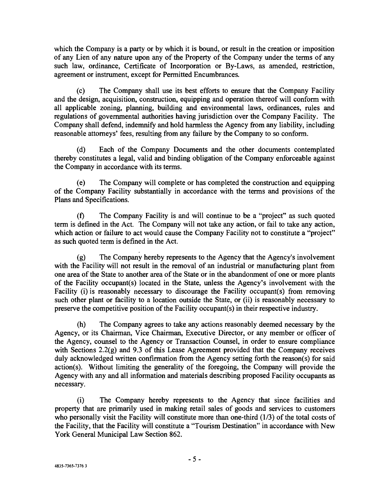which the Company is a party or by which it is bound, or result in the creation or imposition of any Lien of any nature upon any of the Property of the Company under the terms of any such law, ordinance, Certificate of Incorporation or By -Laws, as amended, restriction, agreement or instrument, except for Permitted Encumbrances.

(c) The Company shall use its best efforts to ensure that the Company Facility and the design, acquisition, construction, equipping and operation thereof will conform with all applicable zoning, planning, building and environmental laws, ordinances, rules and regulations of governmental authorities having jurisdiction over the Company Facility. The Company shall defend, indemnify and hold harmless the Agency from any liability, including reasonable attorneys' fees, resulting from any failure by the Company to so conform.

(d) Each of the Company Documents and the other documents contemplated thereby constitutes a legal, valid and binding obligation of the Company enforceable against the Company in accordance with its terms.

(e) The Company will complete or has completed the construction and equipping of the Company Facility substantially in accordance with the terms and provisions of the Plans and Specifications.

(f) The Company Facility is and will continue to be a "project" as such quoted term is defined in the Act. The Company will not take any action, or fail to take any action, which action or failure to act would cause the Company Facility not to constitute a "project" as such quoted term is defined in the Act.

(g) The Company hereby represents to the Agency that the Agency's involvement with the Facility will not result in the removal of an industrial or manufacturing plant from one area of the State to another area of the State or in the abandonment of one or more plants of the Facility occupant(s) located in the State, unless the Agency's involvement with the Facility (i) is reasonably necessary to discourage the Facility occupant(s) from removing such other plant or facility to a location outside the State, or (ii) is reasonably necessary to preserve the competitive position of the Facility occupant(s) in their respective industry.

(h) The Company agrees to take any actions reasonably deemed necessary by the Agency, or its Chairman, Vice Chairman, Executive Director, or any member or officer of the Agency, counsel to the Agency or Transaction Counsel, in order to ensure compliance with Sections 2.2(g) and 9.3 of this Lease Agreement provided that the Company receives duly acknowledged written confirmation from the Agency setting forth the reason(s) for said action(s). Without limiting the generality of the foregoing, the Company will provide the Agency with any and all information and materials describing proposed Facility occupants as necessary.

(i) The Company hereby represents to the Agency that since facilities and property that are primarily used in making retail sales of goods and services to customers who personally visit the Facility will constitute more than one-third  $(1/3)$  of the total costs of the Facility, that the Facility will constitute a "Tourism Destination" in accordance with New York General Municipal Law Section 862.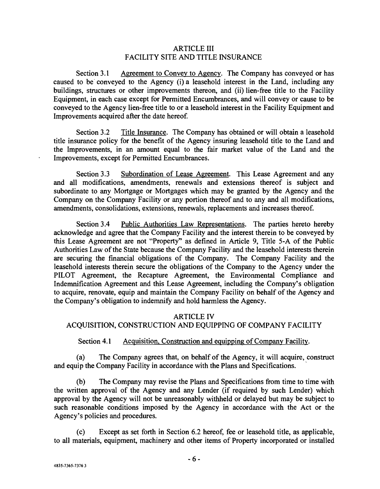# ARTICLE III FACILITY SITE AND TITLE INSURANCE

Section 3.1 Agreement to Convey to Agency. The Company has conveyed or has caused to be conveyed to the Agency (i) a leasehold interest in the Land, including any buildings, structures or other improvements thereon, and (ii) lien-free title to the Facility Equipment, in each case except for Permitted Encumbrances, and will convey or cause to be conveyed to the Agency lien -free title to or a leasehold interest in the Facility Equipment and Improvements acquired after the date hereof.

Section 3.2 Title Insurance. The Company has obtained or will obtain a leasehold title insurance policy for the benefit of the Agency insuring leasehold title to the Land and the Improvements, in an amount equal to the fair market value of the Land and the Improvements, except for Permitted Encumbrances.

Section 3.3 Subordination of Lease Agreement. This Lease Agreement and any and all modifications, amendments, renewals and extensions thereof is subject and subordinate to any Mortgage or Mortgages which may be granted by the Agency and the Company on the Company Facility or any portion thereof and to any and all modifications, amendments, consolidations, extensions, renewals, replacements and increases thereof.

Section 3.4 Public Authorities Law Representations. The parties hereto hereby acknowledge and agree that the Company Facility and the interest therein to be conveyed by this Lease Agreement are not "Property" as defined in Article 9, Title 5 -A of the Public Authorities Law of the State because the Company Facility and the leasehold interests therein are securing the financial obligations of the Company. The Company Facility and the leasehold interests therein secure the obligations of the Company to the Agency under the PILOT Agreement, the Recapture Agreement, the Environmental Compliance and Indemnification Agreement and this Lease Agreement, including the Company's obligation to acquire, renovate, equip and maintain the Company Facility on behalf of the Agency and the Company's obligation to indemnify and hold harmless the Agency.

#### ARTICLE IV

# ACQUISITION, CONSTRUCTION AND EQUIPPING OF COMPANY FACILITY

#### Section 4.1 Acquisition, Construction and equipping of Company Facility.

(a) The Company agrees that, on behalf of the Agency, it will acquire, construct and equip the Company Facility in accordance with the Plans and Specifications.

(b) The Company may revise the Plans and Specifications from time to time with the written approval of the Agency and any Lender (if required by such Lender) which approval by the Agency will not be unreasonably withheld or delayed but may be subject to such reasonable conditions imposed by the Agency in accordance with the Act or the Agency's policies and procedures.

(c) Except as set forth in Section 6.2 hereof, fee or leasehold title, as applicable, to all materials, equipment, machinery and other items of Property incorporated or installed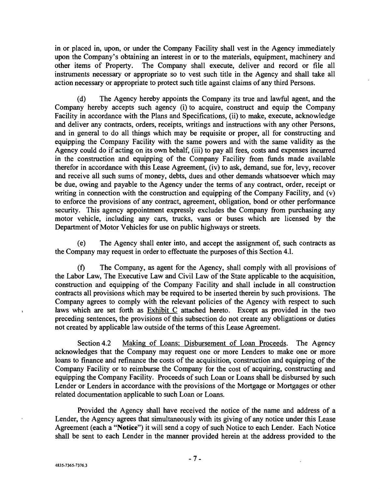in or placed in, upon, or under the Company Facility shall vest in the Agency immediately upon the Company's obtaining an interest in or to the materials, equipment, machinery and other items of Property. The Company shall execute, deliver and record or file all The Company shall execute, deliver and record or file all instruments necessary or appropriate so to vest such title in the Agency and shall take all action necessary or appropriate to protect such title against claims of any third Persons.

(d) The Agency hereby appoints the Company its true and lawful agent, and the Company hereby accepts such agency (i) to acquire, construct and equip the Company Facility in accordance with the Plans and Specifications, (ii) to make, execute, acknowledge and deliver any contracts, orders, receipts, writings and instructions with any other Persons, and in general to do all things which may be requisite or proper, all for constructing and equipping the Company Facility with the same powers and with the same validity as the Agency could do if acting on its own behalf, (iii) to pay all fees, costs and expenses incurred in the construction and equipping of the Company Facility from funds made available therefor in accordance with this Lease Agreement, (iv) to ask, demand, sue for, levy, recover and receive all such sums of money, debts, dues and other demands whatsoever which may be due, owing and payable to the Agency under the terms of any contract, order, receipt or writing in connection with the construction and equipping of the Company Facility, and (v) to enforce the provisions of any contract, agreement, obligation, bond or other performance security. This agency appointment expressly excludes the Company from purchasing any motor vehicle, including any cars, trucks, vans or buses which are licensed by the Department of Motor Vehicles for use on public highways or streets.

(e) The Agency shall enter into, and accept the assignment of, such contracts as the Company may request in order to effectuate the purposes of this Section 4.1.

(f) The Company, as agent for the Agency, shall comply with all provisions of the Labor Law, The Executive Law and Civil Law of the State applicable to the acquisition, construction and equipping of the Company Facility and shall include in all construction contracts all provisions which may be required to be inserted therein by such provisions. The Company agrees to comply with the relevant policies of the Agency with respect to such laws which are set forth as Exhibit C attached hereto. Except as provided in the two preceding sentences, the provisions of this subsection do not create any obligations or duties not created by applicable law outside of the terms of this Lease Agreement.

Section 4.2 Making of Loans; Disbursement of Loan Proceeds. The Agency acknowledges that the Company may request one or more Lenders to make one or more loans to finance and refinance the costs of the acquisition, construction and equipping of the Company Facility or to reimburse the Company for the cost of acquiring, constructing and equipping the Company Facility. Proceeds of such Loan or Loans shall be disbursed by such Lender or Lenders in accordance with the provisions of the Mortgage or Mortgages or other related documentation applicable to such Loan or Loans.

Provided the Agency shall have received the notice of the name and address of a Lender, the Agency agrees that simultaneously with its giving of any notice under this Lease Agreement (each a "Notice") it will send a copy of such Notice to each Lender. Each Notice shall be sent to each Lender in the manner provided herein at the address provided to the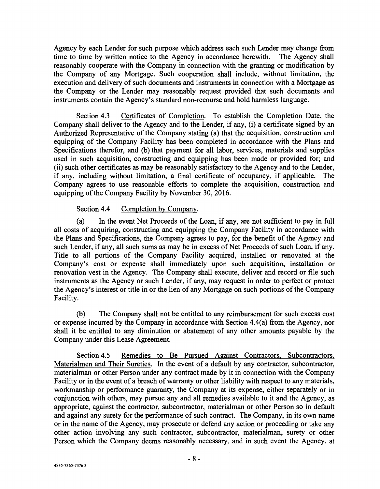Agency by each Lender for such purpose which address each such Lender may change from time to time by written notice to the Agency in accordance herewith. The Agency shall reasonably cooperate with the Company in connection with the granting or modification by the Company of any Mortgage. Such cooperation shall include, without limitation, the execution and delivery of such documents and instruments in connection with a Mortgage as the Company or the Lender may reasonably request provided that such documents and instruments contain the Agency's standard non -recourse and hold harmless language.

Section 4.3 Certificates of Completion. To establish the Completion Date, the Company shall deliver to the Agency and to the Lender, if any, (i) a certificate signed by an Authorized Representative of the Company stating (a) that the acquisition, construction and equipping of the Company Facility has been completed in accordance with the Plans and Specifications therefor, and (b) that payment for all labor, services, materials and supplies used in such acquisition, constructing and equipping has been made or provided for; and (ii) such other certificates as may be reasonably satisfactory to the Agency and to the Lender, if any, including without limitation, a final certificate of occupancy, if applicable. The Company agrees to use reasonable efforts to complete the acquisition, construction and equipping of the Company Facility by November 30, 2016.

# Section 4.4 Completion by Company.

(a) In the event Net Proceeds of the Loan, if any, are not sufficient to pay in full all costs of acquiring, constructing and equipping the Company Facility in accordance with the Plans and Specifications, the Company agrees to pay, for the benefit of the Agency and such Lender, if any, all such sums as may be in excess of Net Proceeds of such Loan, if any. Title to all portions of the Company Facility acquired, installed or renovated at the Company's cost or expense shall immediately upon such acquisition, installation or renovation vest in the Agency. The Company shall execute, deliver and record or file such instruments as the Agency or such Lender, if any, may request in order to perfect or protect the Agency's interest or title in or the lien of any Mortgage on such portions of the Company Facility.

(b) The Company shall not be entitled to any reimbursement for such excess cost or expense incurred by the Company in accordance with Section 4.4(a) from the Agency, nor shall it be entitled to any diminution or abatement of any other amounts payable by the Company under this Lease Agreement.

Section 4.5 Remedies to Be Pursued Against Contractors, Subcontractors, Materialmen and Their Sureties. In the event of a default by any contractor, subcontractor, materialman or other Person under any contract made by it in connection with the Company Facility or in the event of a breach of warranty or other liability with respect to any materials, workmanship or performance guaranty, the Company at its expense, either separately or in conjunction with others, may pursue any and all remedies available to it and the Agency, as appropriate, against the contractor, subcontractor, materialman or other Person so in default and against any surety for the performance of such contract. The Company, in its own name or in the name of the Agency, may prosecute or defend any action or proceeding or take any other action involving any such contractor, subcontractor, materialman, surety or other Person which the Company deems reasonably necessary, and in such event the Agency, at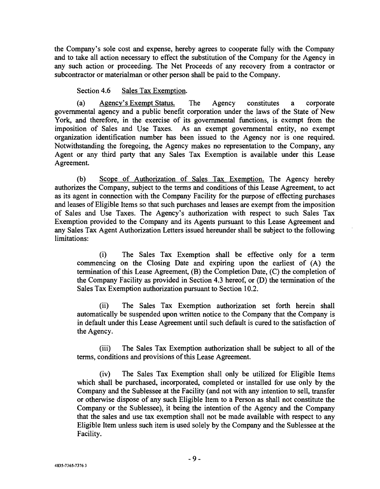the Company's sole cost and expense, hereby agrees to cooperate fully with the Company and to take all action necessary to effect the substitution of the Company for the Agency in any such action or proceeding. The Net Proceeds of any recovery from a contractor or subcontractor or materialman or other person shall be paid to the Company.

Section 4.6 Sales Tax Exemption.

(a) Agency's Exempt Status. The Agency constitutes a corporate governmental agency and a public benefit corporation under the laws of the State of New York, and therefore, in the exercise of its governmental functions, is exempt from the imposition of Sales and Use Taxes. As an exempt governmental entity, no exempt organization identification number has been issued to the Agency nor is one required. Notwithstanding the foregoing, the Agency makes no representation to the Company, any Agent or any third party that any Sales Tax Exemption is available under this Lease Agreement.

(b) Scope of Authorization of Sales Tax Exemption. The Agency hereby authorizes the Company, subject to the terms and conditions of this Lease Agreement, to act as its agent in connection with the Company Facility for the purpose of effecting purchases and leases of Eligible Items so that such purchases and leases are exempt from the imposition of Sales and Use Taxes. The Agency's authorization with respect to such Sales Tax Exemption provided to the Company and its Agents pursuant to this Lease Agreement and any Sales Tax Agent Authorization Letters issued hereunder shall be subject to the following limitations:

(i) The Sales Tax Exemption shall be effective only for a term commencing on the Closing Date and expiring upon the earliest of (A) the termination of this Lease Agreement, (B) the Completion Date, (C) the completion of the Company Facility as provided in Section 4.3 hereof, or (D) the termination of the Sales Tax Exemption authorization pursuant to Section 10.2.

(ii) The Sales Tax Exemption authorization set forth herein shall automatically be suspended upon written notice to the Company that the Company is in default under this Lease Agreement until such default is cured to the satisfaction of the Agency.

(iii) The Sales Tax Exemption authorization shall be subject to all of the terms, conditions and provisions of this Lease Agreement.

(iv) The Sales Tax Exemption shall only be utilized for Eligible Items which shall be purchased, incorporated, completed or installed for use only by the Company and the Sublessee at the Facility (and not with any intention to sell, transfer or otherwise dispose of any such Eligible Item to a Person as shall not constitute the Company or the Sublessee), it being the intention of the Agency and the Company that the sales and use tax exemption shall not be made available with respect to any Eligible Item unless such item is used solely by the Company and the Sublessee at the Facility.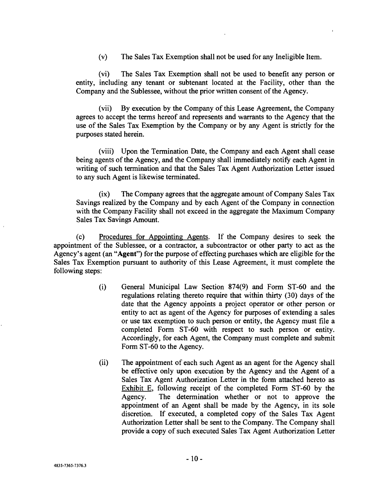(v) The Sales Tax Exemption shall not be used for any Ineligible Item.

(vi) The Sales Tax Exemption shall not be used to benefit any person or entity, including any tenant or subtenant located at the Facility, other than the Company and the Sublessee, without the prior written consent of the Agency.

(vii) By execution by the Company of this Lease Agreement, the Company agrees to accept the terms hereof and represents and warrants to the Agency that the use of the Sales Tax Exemption by the Company or by any Agent is strictly for the purposes stated herein.

(viii) Upon the Termination Date, the Company and each Agent shall cease being agents of the Agency, and the Company shall immediately notify each Agent in writing of such termination and that the Sales Tax Agent Authorization Letter issued to any such Agent is likewise terminated.

(ix) The Company agrees that the aggregate amount of Company Sales Tax Savings realized by the Company and by each Agent of the Company in connection with the Company Facility shall not exceed in the aggregate the Maximum Company Sales Tax Savings Amount.

(c) Procedures for Appointing Agents. If the Company desires to seek the appointment of the Sublessee, or a contractor, a subcontractor or other party to act as the Agency's agent (an "Agent") for the purpose of effecting purchases which are eligible for the Sales Tax Exemption pursuant to authority of this Lease Agreement, it must complete the following steps:

- (i) General Municipal Law Section 874(9) and Form ST -60 and the regulations relating thereto require that within thirty (30) days of the date that the Agency appoints a project operator or other person or entity to act as agent of the Agency for purposes of extending a sales or use tax exemption to such person or entity, the Agency must file a completed Form ST -60 with respect to such person or entity. Accordingly, for each Agent, the Company must complete and submit Form ST-60 to the Agency.
- (ii) The appointment of each such Agent as an agent for the Agency shall be effective only upon execution by the Agency and the Agent of a Sales Tax Agent Authorization Letter in the form attached hereto as Exhibit E, following receipt of the completed Form ST-60 by the Agency. The determination whether or not to approve the appointment of an Agent shall be made by the Agency, in its sole discretion. If executed, a completed copy of the Sales Tax Agent Authorization Letter shall be sent to the Company. The Company shall provide a copy of such executed Sales Tax Agent Authorization Letter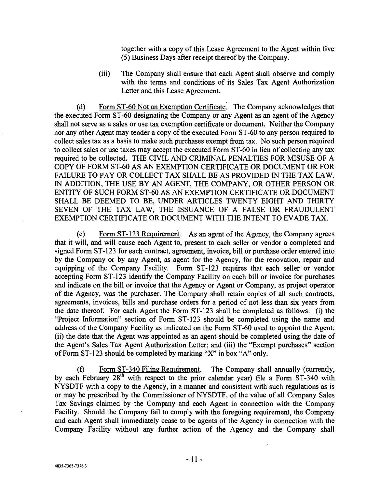together with a copy of this Lease Agreement to the Agent within five (5) Business Days after receipt thereof by the Company.

(iii) The Company shall ensure that each Agent shall observe and comply with the terms and conditions of its Sales Tax Agent Authorization Letter and this Lease Agreement.

(d) Form ST -60 Not an Exemption Certificate. The Company acknowledges that the executed Form ST -60 designating the Company or any Agent as an agent of the Agency shall not serve as a sales or use tax exemption certificate or document. Neither the Company nor any other Agent may tender a copy of the executed Form ST -60 to any person required to collect sales tax as a basis to make such purchases exempt from tax. No such person required to collect sales or use taxes may accept the executed Form ST -60 in lieu of collecting any tax required to be collected. THE CIVIL AND CRIMINAL PENALTIES FOR MISUSE OF A COPY OF FORM ST-60 AS AN EXEMPTION CERTIFICATE OR DOCUMENT OR FOR FAILURE TO PAY OR COLLECT TAX SHALL BE AS PROVIDED IN THE TAX LAW. IN ADDITION, THE USE BY AN AGENT, THE COMPANY, OR OTHER PERSON OR ENTITY OF SUCH FORM ST -60 AS AN EXEMPTION CERTIFICATE OR DOCUMENT SHALL BE DEEMED TO BE, UNDER ARTICLES TWENTY EIGHT AND THIRTY SEVEN OF THE TAX LAW, THE ISSUANCE OF A FALSE OR FRAUDULENT EXEMPTION CERTIFICATE OR DOCUMENT WITH THE INTENT TO EVADE TAX.

(e) Form ST -123 Requirement. As an agent of the Agency, the Company agrees that it will, and will cause each Agent to, present to each seller or vendor a completed and signed Form ST-123 for each contract, agreement, invoice, bill or purchase order entered into by the Company or by any Agent, as agent for the Agency, for the renovation, repair and equipping of the Company Facility. Form ST -123 requires that each seller or vendor accepting Form ST-123 identify the Company Facility on each bill or invoice for purchases and indicate on the bill or invoice that the Agency or Agent or Company, as project operator of the Agency, was the purchaser. The Company shall retain copies of all such contracts, agreements, invoices, bills and purchase orders for a period of not less than six years from the date thereof. For each Agent the Form ST -123 shall be completed as follows: (i) the "Project Information" section of Form ST -123 should be completed using the name and address of the Company Facility as indicated on the Form ST -60 used to appoint the Agent; (ii) the date that the Agent was appointed as an agent should be completed using the date of the Agent's Sales Tax Agent Authorization Letter; and (iii) the "Exempt purchases" section of Form ST -123 should be completed by marking "X" in box "A" only.

(f) Form ST -340 Filing Requirement. The Company shall annually (currently, by each February  $28<sup>th</sup>$  with respect to the prior calendar year) file a Form ST-340 with NYSDTF with a copy to the Agency, in a manner and consistent with such regulations as is or may be prescribed by the Commissioner of NYSDTF, of the value of all Company Sales Tax Savings claimed by the Company and each Agent in connection with the Company Facility. Should the Company fail to comply with the foregoing requirement, the Company and each Agent shall immediately cease to be agents of the Agency in connection with the Company Facility without any further action of the Agency and the Company shall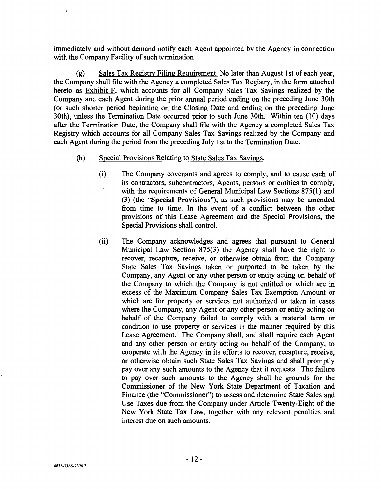immediately and without demand notify each Agent appointed by the Agency in connection with the Company Facility of such termination.

(g) Sales Tax Registry Filing Requirement. No later than August 1st of each year, the Company shall file with the Agency a completed Sales Tax Registry, in the form attached hereto as Exhibit F, which accounts for all Company Sales Tax Savings realized by the Company and each Agent during the prior annual period ending on the preceding June 30th (or such shorter period beginning on the Closing Date and ending on the preceding June 30th), unless the Termination Date occurred prior to such June 30th. Within ten (10) days after the Termination Date, the Company shall file with the Agency a completed Sales Tax Registry which accounts for all Company Sales Tax Savings realized by the Company and each Agent during the period from the preceding July 1st to the Termination Date.

# (h) Special Provisions Relating to State Sales Tax Savings.

- (i) The Company covenants and agrees to comply, and to cause each of its contractors, subcontractors, Agents, persons or entities to comply, with the requirements of General Municipal Law Sections 875(1) and (3) (the "Special Provisions "), as such provisions may be amended from time to time. In the event of a conflict between the other provisions of this Lease Agreement and the Special Provisions, the Special Provisions shall control.
- (ii) The Company acknowledges and agrees that pursuant to General Municipal Law Section 875(3) the Agency shall have the right to recover, recapture, receive, or otherwise obtain from the Company State Sales Tax Savings taken or purported to be taken by the Company, any Agent or any other person or entity acting on behalf of the Company to which the Company is not entitled or which are in excess of the Maximum Company Sales Tax Exemption Amount or which are for property or services not authorized or taken in cases where the Company, any Agent or any other person or entity acting on behalf of the Company failed to comply with a material term or condition to use property or services in the manner required by this Lease Agreement. The Company shall, and shall require each Agent and any other person or entity acting on behalf of the Company, to cooperate with the Agency in its efforts to recover, recapture, receive, or otherwise obtain such State Sales Tax Savings and shall promptly pay over any such amounts to the Agency that it requests. The failure to pay over such amounts to the Agency shall be grounds for the Commissioner of the New York State Department of Taxation and Finance (the "Commissioner") to assess and determine State Sales and Use Taxes due from the Company under Article Twenty -Eight of the New York State Tax Law, together with any relevant penalties and interest due on such amounts.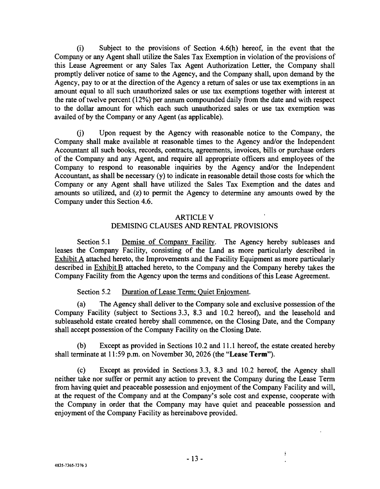(i) Subject to the provisions of Section 4.6(h) hereof, in the event that the Company or any Agent shall utilize the Sales Tax Exemption in violation of the provisions of this Lease Agreement or any Sales Tax Agent Authorization Letter, the Company shall promptly deliver notice of same to the Agency, and the Company shall, upon demand by the Agency, pay to or at the direction of the Agency a return of sales or use tax exemptions in an amount equal to all such unauthorized sales or use tax exemptions together with interest at the rate of twelve percent (12%) per annum compounded daily from the date and with respect to the dollar amount for which each such unauthorized sales or use tax exemption was availed of by the Company or any Agent (as applicable).

(j) Upon request by the Agency with reasonable notice to the Company, the Company shall make available at reasonable times to the Agency and/or the Independent Accountant all such books, records, contracts, agreements, invoices, bills or purchase orders of the Company and any Agent, and require all appropriate officers and employees of the Company to respond to reasonable inquiries by the Agency and/or the Independent Accountant, as shall be necessary (y) to indicate in reasonable detail those costs for which the Company or any Agent shall have utilized the Sales Tax Exemption and the dates and amounts so utilized, and (z) to permit the Agency to determine any amounts owed by the Company under this Section 4.6.

# ARTICLE V DEMISING CLAUSES AND RENTAL PROVISIONS

Section 5.1 Demise of Company Facility. The Agency hereby subleases and leases the Company Facility, consisting of the Land as more particularly described in Exhibit A attached hereto, the Improvements and the Facility Equipment as more particularly described in Exhibit B attached hereto, to the Company and the Company hereby takes the Company Facility from the Agency upon the terms and conditions of this Lease Agreement.

# Section 5.2 Duration of Lease Term: Quiet Enjoyment.

(a) The Agency shall deliver to the Company sole and exclusive possession of the Company Facility (subject to Sections 3.3, 8.3 and 10.2 hereof), and the leasehold and subleasehold estate created hereby shall commence, on the Closing Date, and the Company shall accept possession of the Company Facility on the Closing Date.

(b) Except as provided in Sections 10.2 and 11.1 hereof, the estate created hereby shall terminate at 11:59 p.m. on November 30, 2026 (the "Lease Term").

(c) Except as provided in Sections 3.3, 8.3 and 10.2 hereof, the Agency shall neither take nor suffer or permit any action to prevent the Company during the Lease Term from having quiet and peaceable possession and enjoyment of the Company Facility and will, at the request of the Company and at the Company's sole cost and expense, cooperate with the Company in order that the Company may have quiet and peaceable possession and enjoyment of the Company Facility as hereinabove provided.

 $\mathfrak{g}$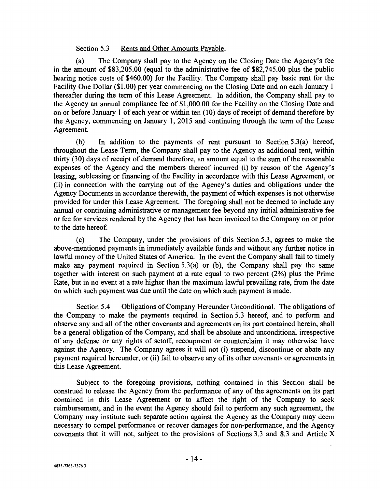# Section 5.3 Rents and Other Amounts Payable.

(a) The Company shall pay to the Agency on the Closing Date the Agency's fee in the amount of \$83,205.00 (equal to the administrative fee of \$82,745.00 plus the public hearing notice costs of \$460.00) for the Facility. The Company shall pay basic rent for the Facility One Dollar (\$1.00) per year commencing on the Closing Date and on each January 1 thereafter during the term of this Lease Agreement. In addition, the Company shall pay to the Agency an annual compliance fee of \$1,000.00 for the Facility on the Closing Date and on or before January 1 of each year or within ten (10) days of receipt of demand therefore by the Agency, commencing on January 1, 2015 and continuing through the term of the Lease Agreement.

(b) In addition to the payments of rent pursuant to Section 5.3(a) hereof, throughout the Lease Term, the Company shall pay to the Agency as additional rent, within thirty (30) days of receipt of demand therefore, an amount equal to the sum of the reasonable expenses of the Agency and the members thereof incurred (i) by reason of the Agency's leasing, subleasing or financing of the Facility in accordance with this Lease Agreement, or (ii) in connection with the carrying out of the Agency's duties and obligations under the Agency Documents in accordance therewith, the payment of which expenses is not otherwise provided for under this Lease Agreement. The foregoing shall not be deemed to include any annual or continuing administrative or management fee beyond any initial administrative fee or fee for services rendered by the Agency that has been invoiced to the Company on or prior to the date hereof.

(c) The Company, under the provisions of this Section 5.3, agrees to make the above -mentioned payments in immediately available funds and without any further notice in lawful money of the United States of America. In the event the Company shall fail to timely make any payment required in Section 5.3(a) or (b), the Company shall pay the same together with interest on such payment at a rate equal to two percent  $(2\%)$  plus the Prime Rate, but in no event at a rate higher than the maximum lawful prevailing rate, from the date on which such payment was due until the date on which such payment is made.

Section 5.4 Obligations of Company Hereunder Unconditional. The obligations of the Company to make the payments required in Section 5.3 hereof, and to perform and observe any and all of the other covenants and agreements on its part contained herein, shall be a general obligation of the Company, and shall be absolute and unconditional irrespective of any defense or any rights of setoff, recoupment or counterclaim it may otherwise have against the Agency. The Company agrees it will not (i) suspend, discontinue or abate any payment required hereunder, or (ii) fail to observe any of its other covenants or agreements in this Lease Agreement.

Subject to the foregoing provisions, nothing contained in this Section shall be construed to release the Agency from the performance of any of the agreements on its part contained in this Lease Agreement or to affect the right of the Company to seek reimbursement, and in the event the Agency should fail to perform any such agreement, the Company may institute such separate action against the Agency as the Company may deem necessary to compel performance or recover damages for non -performance, and the Agency covenants that it will not, subject to the provisions of Sections 3.3 and 8.3 and Article X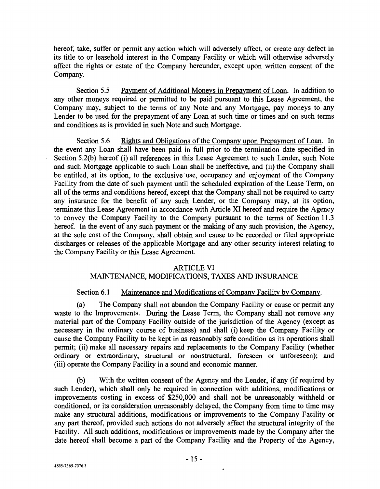hereof, take, suffer or permit any action which will adversely affect, or create any defect in its title to or leasehold interest in the Company Facility or which will otherwise adversely affect the rights or estate of the Company hereunder, except upon written consent of the Company.

Section 5.5 Payment of Additional Moneys in Prepayment of Loan. In addition to any other moneys required or permitted to be paid pursuant to this Lease Agreement, the Company may, subject to the terms of any Note and any Mortgage, pay moneys to any Lender to be used for the prepayment of any Loan at such time or times and on such terms and conditions as is provided in such Note and such Mortgage.

Section 5.6 Rights and Obligations of the Company upon Prepayment of Loan. In the event any Loan shall have been paid in full prior to the termination date specified in Section 5.2(b) hereof (i) all references in this Lease Agreement to such Lender, such Note and such Mortgage applicable to such Loan shall be ineffective, and (ii) the Company shall be entitled, at its option, to the exclusive use, occupancy and enjoyment of the Company Facility from the date of such payment until the scheduled expiration of the Lease Term, on all of the terms and conditions hereof, except that the Company shall not be required to carry any insurance for the benefit of any such Lender, or the Company may, at its option, terminate this Lease Agreement in accordance with Article XI hereof and require the Agency to convey the Company Facility to the Company pursuant to the terms of Section 11.3 hereof. In the event of any such payment or the making of any such provision, the Agency, at the sole cost of the Company, shall obtain and cause to be recorded or filed appropriate discharges or releases of the applicable Mortgage and any other security interest relating to the Company Facility or this Lease Agreement.

# ARTICLE VI

# MAINTENANCE, MODIFICATIONS, TAXES AND INSURANCE

# Section 6.1 Maintenance and Modifications of Company Facility by Company.

(a) The Company shall not abandon the Company Facility or cause or permit any waste to the Improvements. During the Lease Term, the Company shall not remove any material part of the Company Facility outside of the jurisdiction of the Agency (except as necessary in the ordinary course of business) and shall (i) keep the Company Facility or cause the Company Facility to be kept in as reasonably safe condition as its operations shall permit; (ii) make all necessary repairs and replacements to the Company Facility (whether ordinary or extraordinary, structural or nonstructural, foreseen or unforeseen); and (iii) operate the Company Facility in a sound and economic manner.

(b) With the written consent of the Agency and the Lender, if any (if required by such Lender), which shall only be required in connection with additions, modifications or improvements costing in excess of \$250,000 and shall not be unreasonably withheld or conditioned, or its consideration unreasonably delayed, the Company from time to time may make any structural additions, modifications or improvements to the Company Facility or any part thereof, provided such actions do not adversely affect the structural integrity of the Facility. All such additions, modifications or improvements made by the Company after the date hereof shall become a part of the Company Facility and the Property of the Agency,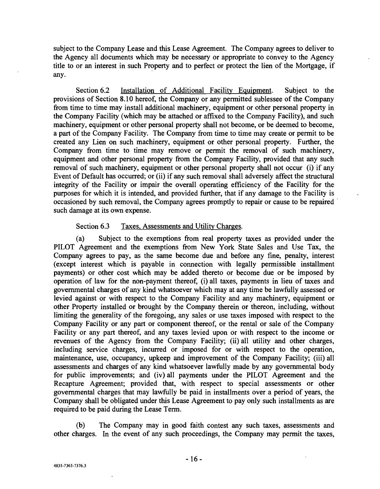subject to the Company Lease and this Lease Agreement. The Company agrees to deliver to the Agency all documents which may be necessary or appropriate to convey to the Agency title to or an interest in such Property and to perfect or protect the lien of the Mortgage, if any.

Section 6.2 Installation of Additional Facility Equipment. Subject to the provisions of Section 8.10 hereof, the Company or any permitted sublessee of the Company from time to time may install additional machinery, equipment or other personal property in the Company Facility (which may be attached or affixed to the Company Facility), and such machinery, equipment or other personal property shall not become, or be deemed to become, a part of the Company Facility. The Company from time to time may create or permit to be created any Lien on such machinery, equipment or other personal property. Further, the Company from time to time may remove or permit the removal of such machinery, equipment and other personal property from the Company Facility, provided that any such removal of such machinery, equipment or other personal property shall not occur (i) if any Event of Default has occurred; or (ii) if any such removal shall adversely affect the structural integrity of the Facility or impair the overall operating efficiency of the Facility for the purposes for which it is intended, and provided further, that if any damage to the Facility is occasioned by such removal, the Company agrees promptly to repair or cause to be repaired such damage at its own expense.

### Section 6.3 Taxes, Assessments and Utility Charges.

(a) Subject to the exemptions from real property taxes as provided under the PILOT Agreement and the exemptions from New York State Sales and Use Tax, the Company agrees to pay, as the same become due and before any fine, penalty, interest (except interest which is payable in connection with legally permissible installment payments) or other cost which may be added thereto or become due or be imposed by operation of law for the non -payment thereof, (i) all taxes, payments in lieu of taxes and governmental charges of any kind whatsoever which may at any time be lawfully assessed or levied against or with respect to the Company Facility and any machinery, equipment or other Property installed or brought by the Company therein or thereon, including, without limiting the generality of the foregoing, any sales or use taxes imposed with respect to the Company Facility or any part or component thereof, or the rental or sale of the Company Facility or any part thereof, and any taxes levied upon or with respect to the income or revenues of the Agency from the Company Facility; (ii) all utility and other charges, including service charges, incurred or imposed for or with respect to the operation, maintenance, use, occupancy, upkeep and improvement of the Company Facility; (iii) all assessments and charges of any kind whatsoever lawfully made by any governmental body for public improvements; and (iv) all payments under the PILOT Agreement and the Recapture Agreement; provided that, with respect to special assessments or other governmental charges that may lawfully be paid in installments over a period of years, the Company shall be obligated under this Lease Agreement to pay only such installments as are required to be paid during the Lease Term.

(b) The Company may in good faith contest any such taxes, assessments and other charges. In the event of any such proceedings, the Company may permit the taxes,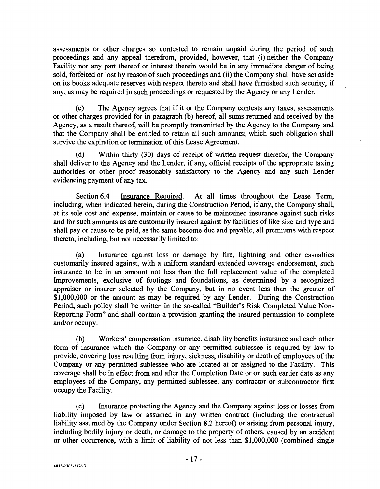assessments or other charges so contested to remain unpaid during the period of such proceedings and any appeal therefrom, provided, however, that (i) neither the Company Facility nor any part thereof or interest therein would be in any immediate danger of being sold, forfeited or lost by reason of such proceedings and (ii) the Company shall have set aside on its books adequate reserves with respect thereto and shall have furnished such security, if any, as may be required in such proceedings or requested by the Agency or any Lender.

(c) The Agency agrees that if it or the Company contests any taxes, assessments or other charges provided for in paragraph (b) hereof, all sums returned and received by the Agency, as a result thereof, will be promptly transmitted by the Agency to the Company and that the Company shall be entitled to retain all such amounts; which such obligation shall survive the expiration or termination of this Lease Agreement.

(d) Within thirty (30) days of receipt of written request therefor, the Company shall deliver to the Agency and the Lender, if any, official receipts of the appropriate taxing authorities or other proof reasonably satisfactory to the Agency and any such Lender evidencing payment of any tax.

Section 6.4 Insurance Required. At all times throughout the Lease Term, including, when indicated herein, during the Construction Period, if any, the Company shall, at its sole cost and expense, maintain or cause to be maintained insurance against such risks and for such amounts as are customarily insured against by facilities of like size and type and shall pay or cause to be paid, as the same become due and payable, all premiums with respect thereto, including, but not necessarily limited to:

(a) Insurance against loss or damage by fire, lightning and other casualties customarily insured against, with a uniform standard extended coverage endorsement, such insurance to be in an amount not less than the full replacement value of the completed Improvements, exclusive of footings and foundations, as determined by a recognized appraiser or insurer selected by the Company, but in no event less than the greater of \$1,000,000 or the amount as may be required by any Lender. During the Construction Period, such policy shall be written in the so-called "Builder's Risk Completed Value Non-Reporting Form" and shall contain a provision granting the insured permission to complete and/or occupy.

(b) Workers' compensation insurance, disability benefits insurance and each other form of insurance which the Company or any permitted sublessee is required by law to provide, covering loss resulting from injury, sickness, disability or death of employees of the Company or any permitted sublessee who are located at or assigned to the Facility. This coverage shall be in effect from and after the Completion Date or on such earlier date as any employees of the Company, any permitted sublessee, any contractor or subcontractor first occupy the Facility.

(c) Insurance protecting the Agency and the Company against loss or losses from liability imposed by law or assumed in any written contract (including the contractual liability assumed by the Company under Section 8.2 hereof) or arising from personal injury, including bodily injury or death, or damage to the property of others, caused by an accident or other occurrence, with a limit of liability of not less than \$1,000,000 (combined single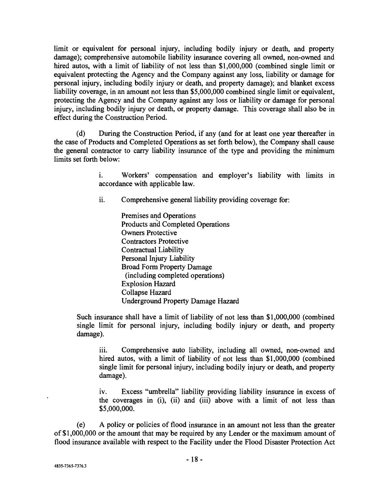limit or equivalent for personal injury, including bodily injury or death, and property damage); comprehensive automobile liability insurance covering all owned, non-owned and hired autos, with a limit of liability of not less than \$1,000,000 (combined single limit or equivalent protecting the Agency and the Company against any loss, liability or damage for personal injury, including bodily injury or death, and property damage); and blanket excess liability coverage, in an amount not less than \$5,000,000 combined single limit or equivalent, protecting the Agency and the Company against any loss or liability or damage for personal injury, including bodily injury or death, or property damage. This coverage shall also be in effect during the Construction Period.

(d) During the Construction Period, if any (and for at least one year thereafter in the case of Products and Completed Operations as set forth below), the Company shall cause the general contractor to carry liability insurance of the type and providing the minimum limits set forth below:

> i. Workers' compensation and employer's liability with limits in accordance with applicable law.

ii. Comprehensive general liability providing coverage for:

Premises and Operations Products and Completed Operations Owners Protective Contractors Protective Contractual Liability Personal Injury Liability Broad Form Property Damage (including completed operations) Explosion Hazard Collapse Hazard Underground Property Damage Hazard

Such insurance shall have a limit of liability of not less than \$1,000,000 (combined single limit for personal injury, including bodily injury or death, and property damage).

iii. Comprehensive auto liability, including all owned, non-owned and hired autos, with a limit of liability of not less than \$1,000,000 (combined single limit for personal injury, including bodily injury or death, and property damage).

iv. Excess "umbrella" liability providing liability insurance in excess of the coverages in (i), (ii) and (iii) above with a limit of not less than \$5,000,000.

(e) A policy or policies of flood insurance in an amount not less than the greater of \$1,000,000 or the amount that may be required by any Lender or the maximum amount of flood insurance available with respect to the Facility under the Flood Disaster Protection Act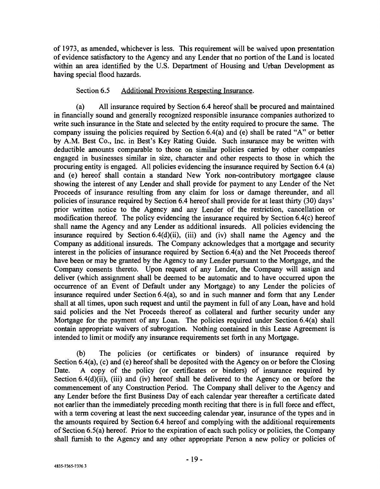of 1973, as amended, whichever is less. This requirement will be waived upon presentation of evidence satisfactory to the Agency and any Lender that no portion of the Land is located within an area identified by the U.S. Department of Housing and Urban Development as having special flood hazards.

# Section 6.5 Additional Provisions Respecting Insurance.

(a) All insurance required by Section 6.4 hereof shall be procured and maintained in financially sound and generally recognized responsible insurance companies authorized to write such insurance in the State and selected by the entity required to procure the same. The company issuing the policies required by Section 6.4(a) and (e) shall be rated "A" or better by A.M. Best Co., Inc. in Best's Key Rating Guide. Such insurance may be written with deductible amounts comparable to those on similar policies carried by other companies engaged in businesses similar in size, character and other respects to those in which the procuring entity is engaged. All policies evidencing the insurance required by Section 6.4 (a) and (e) hereof shall contain a standard New York non -contributory mortgagee clause showing the interest of any Lender and shall provide for payment to any Lender of the Net Proceeds of insurance resulting from any claim for loss or damage thereunder, and all policies of insurance required by Section 6.4 hereof shall provide for at least thirty (30) days' prior written notice to the Agency and any Lender of the restriction, cancellation or modification thereof. The policy evidencing the insurance required by Section 6.4(c) hereof shall name the Agency and any Lender as additional insureds. All policies evidencing the insurance required by Section 6.4(d)(ii), (iii) and (iv) shall name the Agency and the Company as additional insureds. The Company acknowledges that a mortgage and security interest in the policies of insurance required by Section 6.4(a) and the Net Proceeds thereof have been or may be granted by the Agency to any Lender pursuant to the Mortgage, and the Company consents thereto. Upon request of any Lender, the Company will assign and deliver (which assignment shall be deemed to be automatic and to have occurred upon the occurrence of an Event of Default under any Mortgage) to any Lender the policies of insurance required under Section 6.4(a), so and in such manner and form that any Lender shall at all times, upon such request and until the payment in full of any Loan, have and hold said policies and the Net Proceeds thereof as collateral and further security under any Mortgage for the payment of any Loan. The policies required under Section 6.4(a) shall contain appropriate waivers of subrogation. Nothing contained in this Lease Agreement is intended to limit or modify any insurance requirements set forth in any Mortgage.

(b) The policies (or certificates or binders) of insurance required by Section 6.4(a), (c) and (e) hereof shall be deposited with the Agency on or before the Closing Date. A copy of the policy (or certificates or binders) of insurance required by Section 6.4(d)(ii), (iii) and (iv) hereof shall be delivered to the Agency on or before the commencement of any Construction Period. The Company shall deliver to the Agency and any Lender before the first Business Day of each calendar year thereafter a certificate dated not earlier than the immediately preceding month reciting that there is in full force and effect, with a term covering at least the next succeeding calendar year, insurance of the types and in the amounts required by Section 6.4 hereof and complying with the additional requirements of Section 6.5(a) hereof. Prior to the expiration of each such policy or policies, the Company shall furnish to the Agency and any other appropriate Person a new policy or policies of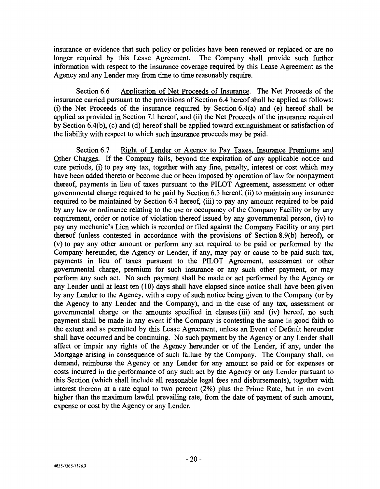insurance or evidence that such policy or policies have been renewed or replaced or are no longer required by this Lease Agreement. The Company shall provide such further information with respect to the insurance coverage required by this Lease Agreement as the Agency and any Lender may from time to time reasonably require.

Section 6.6 Application of Net Proceeds of Insurance. The Net Proceeds of the insurance carried pursuant to the provisions of Section 6.4 hereof shall be applied as follows: (i) the Net Proceeds of the insurance required by Section 6.4(a) and (e) hereof shall be applied as provided in Section 7.1 hereof, and (ii) the Net Proceeds of the insurance required by Section 6.4(b), (c) and (d) hereof shall be applied toward extinguishment or satisfaction of the liability with respect to which such insurance proceeds may be paid.

Section 6.7 Right of Lender or Agency to Pay Taxes, Insurance Premiums and Other Charges. If the Company fails, beyond the expiration of any applicable notice and cure periods, (i) to pay any tax, together with any fine, penalty, interest or cost which may have been added thereto or become due or been imposed by operation of law for nonpayment thereof, payments in lieu of taxes pursuant to the PILOT Agreement, assessment or other governmental charge required to be paid by Section 6.3 hereof, (ii) to maintain any insurance required to be maintained by Section 6.4 hereof, (iii) to pay any amount required to be paid by any law or ordinance relating to the use or occupancy of the Company Facility or by any requirement, order or notice of violation thereof issued by any governmental person, (iv) to pay any mechanic's Lien which is recorded or filed against the Company Facility or any part thereof (unless contested in accordance with the provisions of Section 8.9(b) hereof), or (v) to pay any other amount or perform any act required to be paid or performed by the Company hereunder, the Agency or Lender, if any, may pay or cause to be paid such tax, payments in lieu of taxes pursuant to the PILOT Agreement, assessment or other governmental charge, premium for such insurance or any such other payment, or may perform any such act. No such payment shall be made or act performed by the Agency or any Lender until at least ten (10) days shall have elapsed since notice shall have been given by any Lender to the Agency, with a copy of such notice being given to the Company (or by the Agency to any Lender and the Company), and in the case of any tax, assessment or governmental charge or the amounts specified in clauses (iii) and (iv) hereof, no such payment shall be made in any event if the Company is contesting the same in good faith to the extent and as permitted by this Lease Agreement, unless an Event of Default hereunder shall have occurred and be continuing. No such payment by the Agency or any Lender shall affect or impair any rights of the Agency hereunder or of the Lender, if any, under the Mortgage arising in consequence of such failure by the Company. The Company shall, on demand, reimburse the Agency or any Lender for any amount so paid or for expenses or costs incurred in the performance of any such act by the Agency or any Lender pursuant to this Section (which shall include all reasonable legal fees and disbursements), together with interest thereon at a rate equal to two percent  $(2%)$  plus the Prime Rate, but in no event higher than the maximum lawful prevailing rate, from the date of payment of such amount, expense or cost by the Agency or any Lender.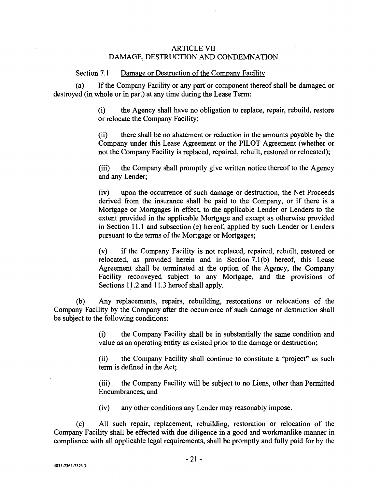# ARTICLE VII DAMAGE, DESTRUCTION AND CONDEMNATION

Section 7.1 Damage or Destruction of the Company Facility.

(a) If the Company Facility or any part or component thereof shall be damaged or destroyed (in whole or in part) at any time during the Lease Term:

> (i) the Agency shall have no obligation to replace, repair, rebuild, restore or relocate the Company Facility;

> (ii) there shall be no abatement or reduction in the amounts payable by the Company under this Lease Agreement or the PILOT Agreement (whether or not the Company Facility is replaced, repaired, rebuilt, restored or relocated);

> (iii) the Company shall promptly give written notice thereof to the Agency and any Lender;

> (iv) upon the occurrence of such damage or destruction, the Net Proceeds derived from the insurance shall be paid to the Company, or if there is a Mortgage or Mortgages in effect, to the applicable Lender or Lenders to the extent provided in the applicable Mortgage and except as otherwise provided in Section 11.1 and subsection (e) hereof, applied by such Lender or Lenders pursuant to the terms of the Mortgage or Mortgages;

> (v) if the Company Facility is not replaced, repaired, rebuilt, restored or relocated, as provided herein and in Section 7.1(b) hereof, this Lease Agreement shall be terminated at the option of the Agency, the Company Facility reconveyed subject to any Mortgage, and the provisions of Sections 11.2 and 11.3 hereof shall apply.

(b) Any replacements, repairs, rebuilding, restorations or relocations of the Company Facility by the Company after the occurrence of such damage or destruction shall be subject to the following conditions:

> (i) the Company Facility shall be in substantially the same condition and value as an operating entity as existed prior to the damage or destruction;

> (ii) the Company Facility shall continue to constitute a "project" as such term is defined in the Act;

> (iii) the Company Facility will be subject to no Liens, other than Permitted Encumbrances; and

(iv) any other conditions any Lender may reasonably impose.

(c) All such repair, replacement, rebuilding, restoration or relocation of the Company Facility shall be effected with due diligence in a good and workmanlike manner in compliance with all applicable legal requirements, shall be promptly and fully paid for by the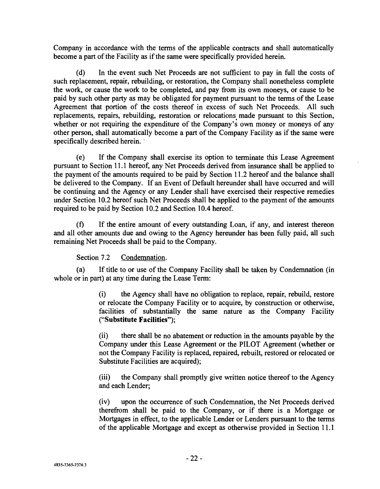Company in accordance with the terms of the applicable contracts and shall automatically become a part of the Facility as if the same were specifically provided herein.

(d) In the event such Net Proceeds are not sufficient to pay in full the costs of such replacement, repair, rebuilding, or restoration, the Company shall nonetheless complete the work, or cause the work to be completed, and pay from its own moneys, or cause to be paid by such other party as may be obligated for payment pursuant to the terms of the Lease Agreement that portion of the costs thereof in excess of such Net Proceeds. All such replacements, repairs, rebuilding, restoration or relocations made pursuant to this Section, whether or not requiring the expenditure of the Company's own money or moneys of any other person, shall automatically become a part of the Company Facility as if the same were specifically described herein.

(e) If the Company shall exercise its option to terminate this Lease Agreement pursuant to Section 11.1 hereof, any Net Proceeds derived from insurance shall be applied to the payment of the amounts required to be paid by Section 11.2 hereof and the balance shall be delivered to the Company. If an Event of Default hereunder shall have occurred and will be continuing and the Agency or any Lender shall have exercised their respective remedies under Section 10.2 hereof such Net Proceeds shall be applied to the payment of the amounts required to be paid by Section 10.2 and Section 10.4 hereof.

(f) If the entire amount of every outstanding Loan, if any, and interest thereon and all other amounts due and owing to the Agency hereunder has been fully paid, all such remaining Net Proceeds shall be paid to the Company.

Section 7.2 Condemnation.

(a) If title to or use of the Company Facility shall be taken by Condemnation (in whole or in part) at any time during the Lease Term:

> (i) the Agency shall have no obligation to replace, repair, rebuild, restore or relocate the Company Facility or to acquire, by construction or otherwise, facilities of substantially the same nature as the Company Facility ( "Substitute Facilities ");

> (ii) there shall be no abatement or reduction in the amounts payable by the Company under this Lease Agreement or the PILOT Agreement (whether or not the Company Facility is replaced, repaired, rebuilt, restored or relocated or Substitute Facilities are acquired);

> (iii) the Company shall promptly give written notice thereof to the Agency and each Lender;

> (iv) upon the occurrence of such Condemnation, the Net Proceeds derived therefrom shall be paid to the Company, or if there is a Mortgage or Mortgages in effect, to the applicable Lender or Lenders pursuant to the terms of the applicable Mortgage and except as otherwise provided in Section 11.1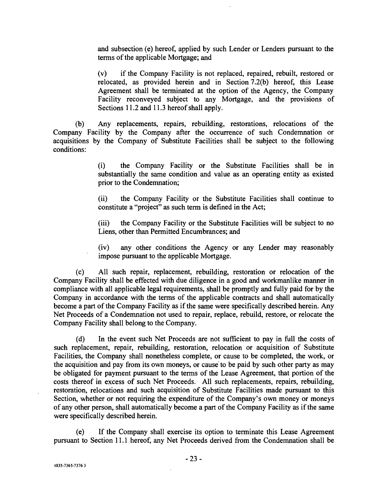and subsection (e) hereof, applied by such Lender or Lenders pursuant to the terms of the applicable Mortgage; and

(v) if the Company Facility is not replaced, repaired, rebuilt, restored or relocated, as provided herein and in Section 7.2(b) hereof, this Lease Agreement shall be terminated at the option of the Agency, the Company Facility reconveyed subject to any Mortgage, and the provisions of Sections 11.2 and 11.3 hereof shall apply.

(b) Any replacements, repairs, rebuilding, restorations, relocations of the Company Facility by the Company after the occurrence of such Condemnation or acquisitions by the Company of Substitute Facilities shall be subject to the following conditions:

> (i) the Company Facility or the Substitute Facilities shall be in substantially the same condition and value as an operating entity as existed prior to the Condemnation;

> (ii) the Company Facility or the Substitute Facilities shall continue to constitute a "project" as such term is defined in the Act;

> (iii) the Company Facility or the Substitute Facilities will be subject to no Liens, other than Permitted Encumbrances; and

> (iv) any other conditions the Agency or any Lender may reasonably impose pursuant to the applicable Mortgage.

(c) All such repair, replacement, rebuilding, restoration or relocation of the Company Facility shall be effected with due diligence in a good and workmanlike manner in compliance with all applicable legal requirements, shall be promptly and fully paid for by the Company in accordance with the terms of the applicable contracts and shall automatically become a part of the Company Facility as if the same were specifically described herein. Any Net Proceeds of a Condemnation not used to repair, replace, rebuild, restore, or relocate the Company Facility shall belong to the Company.

(d) In the event such Net Proceeds are not sufficient to pay in full the costs of such replacement, repair, rebuilding, restoration, relocation or acquisition of Substitute Facilities, the Company shall nonetheless complete, or cause to be completed, the work, or the acquisition and pay from its own moneys, or cause to be paid by such other party as may be obligated for payment pursuant to the terms of the Lease Agreement, that portion of the costs thereof in excess of such Net Proceeds. All such replacements, repairs, rebuilding, restoration, relocations and such acquisition of Substitute Facilities made pursuant to this Section, whether or not requiring the expenditure of the Company's own money or moneys of any other person, shall automatically become a part of the Company Facility as if the same were specifically described herein.

(e) If the Company shall exercise its option to terminate this Lease Agreement pursuant to Section 11.1 hereof, any Net Proceeds derived from the Condemnation shall be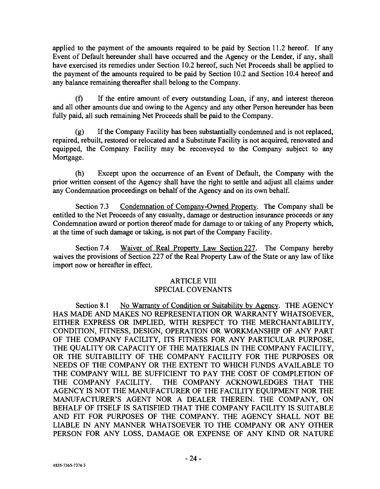applied to the payment of the amounts required to be paid by Section 11.2 hereof. If any Event of Default hereunder shall have occurred and the Agency or the Lender, if any, shall have exercised its remedies under Section 10.2 hereof, such Net Proceeds shall be applied to the payment of the amounts required to be paid by Section 10.2 and Section 10.4 hereof and any balance remaining thereafter shall belong to the Company.

(f) If the entire amount of every outstanding Loan, if any, and interest thereon and all other amounts due and owing to the Agency and any other Person hereunder has been fully paid, all such remaining Net Proceeds shall be paid to the Company.

(g) If the Company Facility has been substantially condemned and is not replaced, repaired, rebuilt, restored or relocated and a Substitute Facility is not acquired, renovated and equipped, the Company Facility may be reconveyed to the Company subject to any Mortgage.

(h) Except upon the occurrence of an Event of Default, the Company with the prior written consent of the Agency shall have the right to settle and adjust all claims under any Condemnation proceedings on behalf of the Agency and on its own behalf.

Section 7.3 Condemnation of Company -Owned Property. The Company shall be entitled to the Net Proceeds of any casualty, damage or destruction insurance proceeds or any Condemnation award or portion thereof made for damage to or taking of any Property which, at the time of such damage or taking, is not part of the Company Facility.

Section 7.4 Waiver of Real Property Law Section 227. The Company hereby waives the provisions of Section 227 of the Real Property Law of the State or any law of like import now or hereafter in effect.

# ARTICLE VIII SPECIAL COVENANTS

Section 8.1 No Warranty of Condition or Suitability by Agency. THE AGENCY HAS MADE AND MAKES NO REPRESENTATION OR WARRANTY WHATSOEVER, EITHER EXPRESS OR IMPLIED, WITH RESPECT TO THE MERCHANTABILITY, CONDITION, FITNESS, DESIGN, OPERATION OR WORKMANSHIP OF ANY PART OF THE COMPANY FACILITY, ITS FITNESS FOR ANY PARTICULAR PURPOSE, THE QUALITY OR CAPACITY OF THE MATERIALS IN THE COMPANY FACILITY, OR THE SUITABILITY OF THE COMPANY FACILITY FOR THE PURPOSES OR NEEDS OF THE COMPANY OR THE EXTENT TO WHICH FUNDS AVAILABLE TO THE COMPANY WILL BE SUFFICIENT TO PAY THE COST OF COMPLETION OF THE COMPANY FACILITY. THE COMPANY ACKNOWLEDGES THAT THE AGENCY IS NOT THE MANUFACTURER OF THE FACILITY EQUIPMENT NOR THE MANUFACTURER'S AGENT NOR A DEALER THEREIN. THE COMPANY, ON BEHALF OF ITSELF IS SATISFIED THAT THE COMPANY FACILITY IS SUITABLE AND FIT FOR PURPOSES OF THE COMPANY. THE AGENCY SHALL NOT BE LIABLE IN ANY MANNER WHATSOEVER TO THE COMPANY OR ANY OTHER PERSON FOR ANY LOSS, DAMAGE OR EXPENSE OF ANY KIND OR NATURE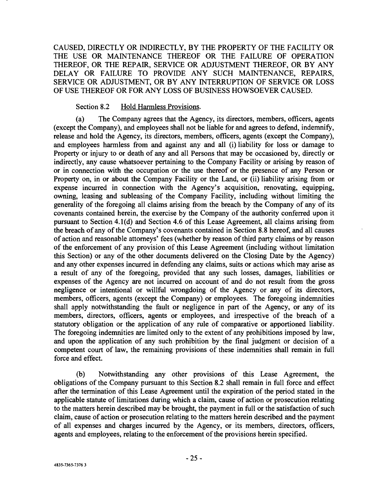CAUSED, DIRECTLY OR INDIRECTLY, BY THE PROPERTY OF THE FACILITY OR THE USE OR MAINTENANCE THEREOF OR THE FAILURE OF OPERATION THEREOF, OR THE REPAIR, SERVICE OR ADJUSTMENT THEREOF, OR BY ANY DELAY OR FAILURE TO PROVIDE ANY SUCH MAINTENANCE, REPAIRS, SERVICE OR ADJUSTMENT, OR BY ANY INTERRUPTION OF SERVICE OR LOSS OF USE THEREOF OR FOR ANY LOSS OF BUSINESS HOWSOEVER CAUSED.

#### Section 8.2 Hold Harmless Provisions.

(a) The Company agrees that the Agency, its directors, members, officers, agents (except the Company), and employees shall not be liable for and agrees to defend, indemnify, release and hold the Agency, its directors, members, officers, agents (except the Company), and employees harmless from and against any and all (i) liability for loss or damage to Property or injury to or death of any and all Persons that may be occasioned by, directly or indirectly, any cause whatsoever pertaining to the Company Facility or arising by reason of or in connection with the occupation or the use thereof or the presence of any Person or Property on, in or about the Company Facility or the Land, or (ii) liability arising from or expense incurred in connection with the Agency's acquisition, renovating, equipping, owning, leasing and subleasing of the Company Facility, including without limiting the generality of the foregoing all claims arising from the breach by the Company of any of its covenants contained herein, the exercise by the Company of the authority conferred upon it pursuant to Section 4.1(d) and Section 4.6 of this Lease Agreement, all claims arising from the breach of any of the Company's covenants contained in Section 8.8 hereof, and all causes of action and reasonable attorneys' fees (whether by reason of third party claims or by reason of the enforcement of any provision of this Lease Agreement (including without limitation this Section) or any of the other documents delivered on the Closing Date by the Agency) and any other expenses incurred in defending any claims, suits or actions which may arise as a result of any of the foregoing, provided that any such losses, damages, liabilities or expenses of the Agency are not incurred on account of and do not result from the gross negligence or intentional or willful wrongdoing of the Agency or any of its directors, members, officers, agents (except the Company) or employees. The foregoing indemnities shall apply notwithstanding the fault or negligence in part of the Agency, or any of its members, directors, officers, agents or employees, and irrespective of the breach of a statutory obligation or the application of any rule of comparative or apportioned liability. The foregoing indemnities are limited only to the extent of any prohibitions imposed by law, and upon the application of any such prohibition by the final judgment or decision of a competent court of law, the remaining provisions of these indemnities shall remain in full force and effect.

(b) Notwithstanding any other provisions of this Lease Agreement, the obligations of the Company pursuant to this Section 8.2 shall remain in full force and effect after the termination of this Lease Agreement until the expiration of the period stated in the applicable statute of limitations during which a claim, cause of action or prosecution relating to the matters herein described may be brought, the payment in full or the satisfaction of such claim, cause of action or prosecution relating to the matters herein described and the payment of all expenses and charges incurred by the Agency, or its members, directors, officers, agents and employees, relating to the enforcement of the provisions herein specified.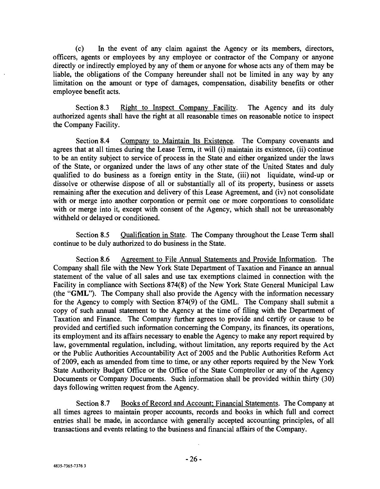(c) In the event of any claim against the Agency or its members, directors, officers, agents or employees by any employee or contractor of the Company or anyone directly or indirectly employed by any of them or anyone for whose acts any of them may be liable, the obligations of the Company hereunder shall not be limited in any way by any limitation on the amount or type of damages, compensation, disability benefits or other employee benefit acts.

Section 8.3 Right to Inspect Company Facility. The Agency and its duly authorized agents shall have the right at all reasonable times on reasonable notice to inspect the Company Facility.

Section 8.4 Company to Maintain Its Existence. The Company covenants and agrees that at all times during the Lease Term, it will (i) maintain its existence, (ii) continue to be an entity subject to service of process in the State and either organized under the laws of the State, or organized under the laws of any other state of the United States and duly qualified to do business as a foreign entity in the State, (iii) not liquidate, wind -up or dissolve or otherwise dispose of all or substantially all of its property, business or assets remaining after the execution and delivery of this Lease Agreement, and (iv) not consolidate with or merge into another corporation or permit one or more corporations to consolidate with or merge into it, except with consent of the Agency, which shall not be unreasonably withheld or delayed or conditioned.

Section 8.5 Qualification in State. The Company throughout the Lease Term shall continue to be duly authorized to do business in the State.

Section 8.6 Agreement to File Annual Statements and Provide Information. The Company shall file with the New York State Department of Taxation and Finance an annual statement of the value of all sales and use tax exemptions claimed in connection with the Facility in compliance with Sections 874(8) of the New York State General Municipal Law (the "GML"). The Company shall also provide the Agency with the information necessary for the Agency to comply with Section 874(9) of the GML. The Company shall submit a copy of such annual statement to the Agency at the time of filing with the Department of Taxation and Finance. The Company further agrees to provide and certify or cause to be provided and certified such information concerning the Company, its finances, its operations, its employment and its affairs necessary to enable the Agency to make any report required by law, governmental regulation, including, without limitation, any reports required by the Act or the Public Authorities Accountability Act of 2005 and the Public Authorities Reform Act of 2009, each as amended from time to time, or any other reports required by the New York State Authority Budget Office or the Office of the State Comptroller or any of the Agency Documents or Company Documents. Such information shall be provided within thirty (30) days following written request from the Agency.

Section 8.7 Books of Record and Account; Financial Statements. The Company at all times agrees to maintain proper accounts, records and books in which full and correct entries shall be made, in accordance with generally accepted accounting principles, of all transactions and events relating to the business and financial affairs of the Company.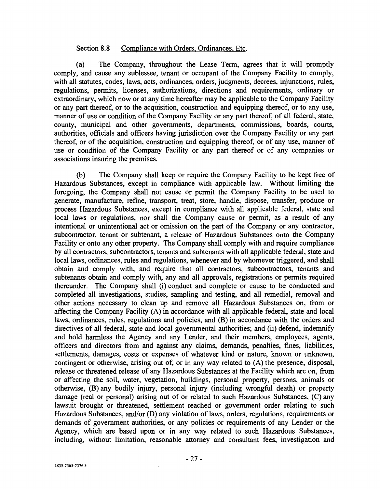#### Section 8.8 Compliance with Orders, Ordinances, Etc.

(a) The Company, throughout the Lease Term, agrees that it will promptly comply, and cause any sublessee, tenant or occupant of the Company Facility to comply, with all statutes, codes, laws, acts, ordinances, orders, judgments, decrees, injunctions, rules, regulations, permits, licenses, authorizations, directions and requirements, ordinary or extraordinary, which now or at any time hereafter may be applicable to the Company Facility or any part thereof, or to the acquisition, construction and equipping thereof, or to any use, manner of use or condition of the Company Facility or any part thereof, of all federal, state, county, municipal and other governments, departments, commissions, boards, courts, authorities, officials and officers having jurisdiction over the Company Facility or any part thereof, or of the acquisition, construction and equipping thereof, or of any use, manner of use or condition of the Company Facility or any part thereof or of any companies or associations insuring the premises.

(b) The Company shall keep or require the Company Facility to be kept free of Hazardous Substances, except in compliance with applicable law. Without limiting the foregoing, the Company shall not cause or permit the Company Facility to be used to generate, manufacture, refine, transport, treat, store, handle, dispose, transfer, produce or process Hazardous Substances, except in compliance with all applicable federal, state and local laws or regulations, nor shall the Company cause or permit, as a result of any intentional or unintentional act or omission on the part of the Company or any contractor, subcontractor, tenant or subtenant, a release of Hazardous Substances onto the Company Facility or onto any other property. The Company shall comply with and require compliance by all contractors, subcontractors, tenants and subtenants with all applicable federal, state and local laws, ordinances, rules and regulations, whenever and by whomever triggered, and shall obtain and comply with, and require that all contractors, subcontractors, tenants and subtenants obtain and comply with, any and all approvals, registrations or permits required thereunder. The Company shall (i) conduct and complete or cause to be conducted and completed all investigations, studies, sampling and testing, and all remedial, removal and other actions necessary to clean up and remove all Hazardous Substances on, from or affecting the Company Facility (A) in accordance with all applicable federal, state and local laws, ordinances, rules, regulations and policies, and (B) in accordance with the orders and directives of all federal, state and local governmental authorities; and (ii) defend, indemnify and hold harmless the Agency and any Lender, and their members, employees, agents, officers and directors from and against any claims, demands, penalties, fines, liabilities, settlements, damages, costs or expenses of whatever kind or nature, known or unknown, contingent or otherwise, arising out of, or in any way related to (A) the presence, disposal, release or threatened release of any Hazardous Substances at the Facility which are on, from or affecting the soil, water, vegetation, buildings, personal property, persons, animals or otherwise, (B) any bodily injury, personal injury (including wrongful death) or property damage (real or personal) arising out of or related to such Hazardous Substances, (C) any lawsuit brought or threatened, settlement reached or government order relating to such Hazardous Substances, and/or (D) any violation of laws, orders, regulations, requirements or demands of government authorities, or any policies or requirements of any Lender or the Agency, which are based upon or in any way related to such Hazardous Substances, including, without limitation, reasonable attorney and consultant fees, investigation and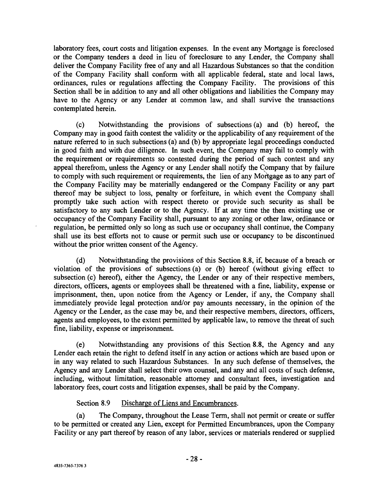laboratory fees, court costs and litigation expenses. In the event any Mortgage is foreclosed or the Company tenders a deed in lieu of foreclosure to any Lender, the Company shall deliver the Company Facility free of any and all Hazardous Substances so that the condition of the Company Facility shall conform with all applicable federal, state and local laws, ordinances, rules or regulations affecting the Company Facility. The provisions of this Section shall be in addition to any and all other obligations and liabilities the Company may have to the Agency or any Lender at common law, and shall survive the transactions contemplated herein.

(c) Notwithstanding the provisions of subsections (a) and (b) hereof, the Company may in good faith contest the validity or the applicability of any requirement of the nature referred to in such subsections (a) and (b) by appropriate legal proceedings conducted in good faith and with due diligence. In such event, the Company may fail to comply with the requirement or requirements so contested during the period of such contest and any appeal therefrom, unless the Agency or any Lender shall notify the Company that by failure to comply with such requirement or requirements, the lien of any Mortgage as to any part of the Company Facility may be materially endangered or the Company Facility or any part thereof may be subject to loss, penalty or forfeiture, in which event the Company shall promptly take such action with respect thereto or provide such security as shall be satisfactory to any such Lender or to the Agency. If at any time the then existing use or occupancy of the Company Facility shall, pursuant to any zoning or other law, ordinance or regulation, be permitted only so long as such use or occupancy shall continue, the Company shall use its best efforts not to cause or permit such use or occupancy to be discontinued without the prior written consent of the Agency.

(d) Notwithstanding the provisions of this Section 8.8, if, because of a breach or violation of the provisions of subsections (a) or (b) hereof (without giving effect to subsection (c) hereof), either the Agency, the Lender or any of their respective members, directors, officers, agents or employees shall be threatened with a fine, liability, expense or imprisonment, then, upon notice from the Agency or Lender, if any, the Company shall immediately provide legal protection and/or pay amounts necessary, in the opinion of the Agency or the Lender, as the case may be, and their respective members, directors, officers, agents and employees, to the extent permitted by applicable law, to remove the threat of such fine, liability, expense or imprisonment.

(e) Notwithstanding any provisions of this Section 8.8, the Agency and any Lender each retain the right to defend itself in any action or actions which are based upon or in any way related to such Hazardous Substances. In any such defense of themselves, the Agency and any Lender shall select their own counsel, and any and all costs of such defense, including, without limitation, reasonable attorney and consultant fees, investigation and laboratory fees, court costs and litigation expenses, shall be paid by the Company.

# Section 8.9 Discharge of Liens and Encumbrances.

(a) The Company, throughout the Lease Term, shall not permit or create or suffer to be permitted or created any Lien, except for Permitted Encumbrances, upon the Company Facility or any part thereof by reason of any labor, services or materials rendered or supplied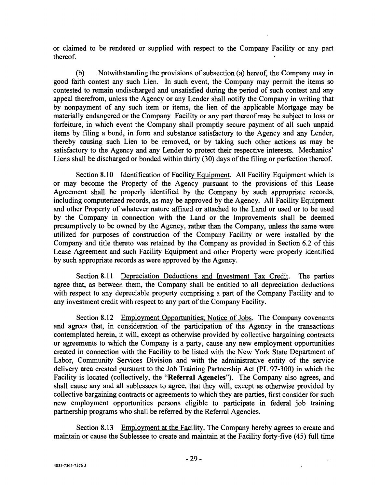or claimed to be rendered or supplied with respect to the Company Facility or any part thereof.

(b) Notwithstanding the provisions of subsection (a) hereof, the Company may in good faith contest any such Lien. In such event, the Company may permit the items so contested to remain undischarged and unsatisfied during the period of such contest and any appeal therefrom, unless the Agency or any Lender shall notify the Company in writing that by nonpayment of any such item or items, the lien of the applicable Mortgage may be materially endangered or the Company Facility or any part thereof may be subject to loss or forfeiture, in which event the Company shall promptly secure payment of all such unpaid items by filing a bond, in form and substance satisfactory to the Agency and any Lender, thereby causing such Lien to be removed, or by taking such other actions as may be satisfactory to the Agency and any Lender to protect their respective interests. Mechanics' Liens shall be discharged or bonded within thirty (30) days of the filing or perfection thereof.

Section 8.10 Identification of Facility Equipment. All Facility Equipment which is or may become the Property of the Agency pursuant to the provisions of this Lease Agreement shall be properly identified by the Company by such appropriate records, including computerized records, as may be approved by the Agency. All Facility Equipment and other Property of whatever nature affixed or attached to the Land or used or to be used by the Company in connection with the Land or the Improvements shall be deemed presumptively to be owned by the Agency, rather than the Company, unless the same were utilized for purposes of construction of the Company Facility or were installed by the Company and title thereto was retained by the Company as provided in Section 6.2 of this Lease Agreement and such Facility Equipment and other Property were properly identified by such appropriate records as were approved by the Agency.

Section 8.11 Depreciation Deductions and Investment Tax Credit. The parties agree that, as between them, the Company shall be entitled to all depreciation deductions with respect to any depreciable property comprising a part of the Company Facility and to any investment credit with respect to any part of the Company Facility.

Section 8.12 Employment Opportunities; Notice of Jobs. The Company covenants and agrees that, in consideration of the participation of the Agency in the transactions contemplated herein, it will, except as otherwise provided by collective bargaining contracts or agreements to which the Company is a party, cause any new employment opportunities created in connection with the Facility to be listed with the New York State Department of Labor, Community Services Division and with the administrative entity of the service delivery area created pursuant to the Job Training Partnership Act (PL 97-300) in which the Facility is located (collectively, the "Referral Agencies"). The Company also agrees, and shall cause any and all sublessees to agree, that they will, except as otherwise provided by collective bargaining contracts or agreements to which they are parties, first consider for such new employment opportunities persons eligible to participate in federal job training partnership programs who shall be referred by the Referral Agencies.

Section 8.13 Employment at the Facility. The Company hereby agrees to create and maintain or cause the Sublessee to create and maintain at the Facility forty -five (45) full time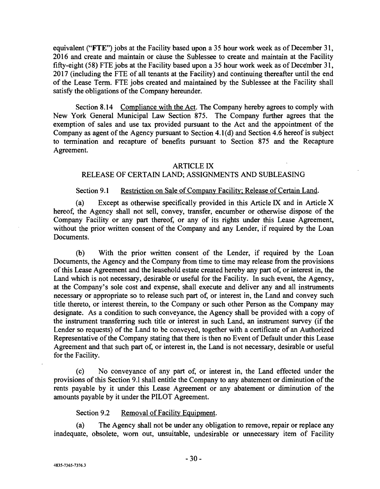equivalent ("FTE") jobs at the Facility based upon a 35 hour work week as of December 31, 2016 and create and maintain or cause the Sublessee to create and maintain at the Facility fifty -eight (58) FTE jobs at the Facility based upon a 35 hour work week as of December 31, 2017 (including the FTE of all tenants at the Facility) and continuing thereafter until the end of the Lease Term. FTE jobs created and maintained by the Sublessee at the Facility shall satisfy the obligations of the Company hereunder.

Section 8.14 Compliance with the Act. The Company hereby agrees to comply with New York General Municipal Law Section 875. The Company further agrees that the exemption of sales and use tax provided pursuant to the Act and the appointment of the Company as agent of the Agency pursuant to Section 4.1(d) and Section 4.6 hereof is subject to termination and recapture of benefits pursuant to Section 875 and the Recapture Agreement.

#### ARTICLE IX

# RELEASE OF CERTAIN LAND; ASSIGNMENTS AND SUBLEASING

### Section 9.1 Restriction on Sale of Company Facility; Release of Certain Land.

(a) Except as otherwise specifically provided in this Article IX and in Article X hereof, the Agency shall not sell, convey, transfer, encumber or otherwise dispose of the Company Facility or any part thereof, or any of its rights under this Lease Agreement, without the prior written consent of the Company and any Lender, if required by the Loan Documents.

(b) With the prior written consent of the Lender, if required by the Loan Documents, the Agency and the Company from time to time may release from the provisions of this Lease Agreement and the leasehold estate created hereby any part of, or interest in, the Land which is not necessary, desirable or useful for the Facility. In such event, the Agency, at the Company's sole cost and expense, shall execute and deliver any and all instruments necessary or appropriate so to release such part of, or interest in, the Land and convey such title thereto, or interest therein, to the Company or such other Person as the Company may designate. As a condition to such conveyance, the Agency shall be provided with a copy of the instrument transferring such title or interest in such Land, an instrument survey (if the Lender so requests) of the Land to be conveyed, together with a certificate of an Authorized Representative of the Company stating that there is then no Event of Default under this Lease Agreement and that such part of, or interest in, the Land is not necessary, desirable or useful for the Facility.

(c) No conveyance of any part of, or interest in, the Land effected under the provisions of this Section 9.1 shall entitle the Company to any abatement or diminution of the rents payable by it under this Lease Agreement or any abatement or diminution of the amounts payable by it under the PILOT Agreement.

Section 9.2 Removal of Facility Equipment.

(a) The Agency shall not be under any obligation to remove, repair or replace any inadequate, obsolete, worn out, unsuitable, undesirable or unnecessary item of Facility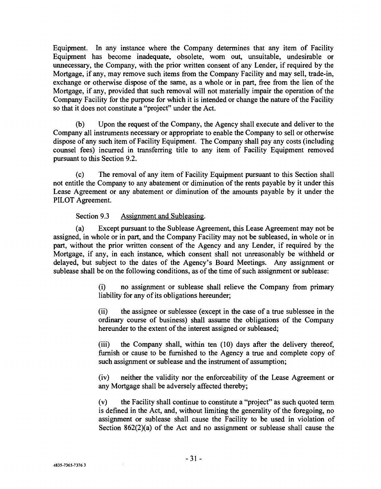Equipment. In any instance where the Company determines that any item of Facility Equipment has become inadequate, obsolete, worn out, unsuitable, undesirable or unnecessary, the Company, with the prior written consent of any Lender, if required by the Mortgage, if any, may remove such items from the Company Facility and may sell, trade -in, exchange or otherwise dispose of the same, as a whole or in part, free from the lien of the Mortgage, if any, provided that such removal will not materially impair the operation of the Company Facility for the purpose for which it is intended or change the nature of the Facility so that it does not constitute a "project" under the Act.

(b) Upon the request of the Company, the Agency shall execute and deliver to the Company all instruments necessary or appropriate to enable the Company to sell or otherwise dispose of any such item of Facility Equipment. The Company shall pay any costs (including counsel fees) incurred in transferring title to any item of Facility Equipment removed pursuant to this Section 9.2.

(c) The removal of any item of Facility Equipment pursuant to this Section shall not entitle the Company to any abatement or diminution of the rents payable by it under this Lease Agreement or any abatement or diminution of the amounts payable by it under the PILOT Agreement.

# Section 9.3 Assignment and Subleasing.

(a) Except pursuant to the Sublease Agreement, this Lease Agreement may not be assigned, in whole or in part, and the Company Facility may not be subleased, in whole or in part, without the prior written consent of the Agency and any Lender, if required by the Mortgage, if any, in each instance, which consent shall not unreasonably be withheld or delayed, but subject to the dates of the Agency's Board Meetings. Any assignment or sublease shall be on the following conditions, as of the time of such assignment or sublease:

> (i) no assignment or sublease shall relieve the Company from primary liability for any of its obligations hereunder;

> (ii) the assignee or sublessee (except in the case of a true sublessee in the ordinary course of business) shall assume the obligations of the Company hereunder to the extent of the interest assigned or subleased;

> (iii) the Company shall, within ten (10) days after the delivery thereof, furnish or cause to be furnished to the Agency a true and complete copy of such assignment or sublease and the instrument of assumption;

> (iv) neither the validity nor the enforceability of the Lease Agreement or any Mortgage shall be adversely affected thereby;

> (v) the Facility shall continue to constitute a "project" as such quoted term is defined in the Act, and, without limiting the generality of the foregoing, no assignment or sublease shall cause the Facility to be used in violation of Section 862(2)(a) of the Act and no assignment or sublease shall cause the

 $\alpha$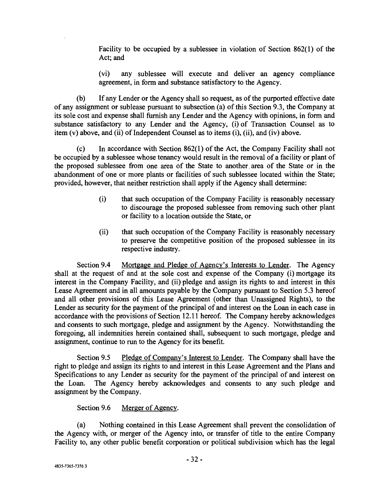Facility to be occupied by a sublessee in violation of Section 862(1) of the Act; and

(vi) any sublessee will execute and deliver an agency compliance agreement, in form and substance satisfactory to the Agency.

(b) If any Lender or the Agency shall so request, as of the purported effective date of any assignment or sublease pursuant to subsection (a) of this Section 9.3, the Company at its sole cost and expense shall furnish any Lender and the Agency with opinions, in form and substance satisfactory to any Lender and the Agency, (i) of Transaction Counsel as to item (v) above, and (ii) of Independent Counsel as to items (i), (ii), and (iv) above.

(c) In accordance with Section 862(1) of the Act, the Company Facility shall not be occupied by a sublessee whose tenancy would result in the removal of a facility or plant of the proposed sublessee from one area of the State to another area of the State or in the abandonment of one or more plants or facilities of such sublessee located within the State; provided, however, that neither restriction shall apply if the Agency shall determine:

- (i) that such occupation of the Company Facility is reasonably necessary to discourage the proposed sublessee from removing such other plant or facility to a location outside the State, or
- (ii) that such occupation of the Company Facility is reasonably necessary to preserve the competitive position of the proposed sublessee in its respective industry.

Section 9.4 Mortgage and Pledge of Agency's Interests to Lender. The Agency shall at the request of and at the sole cost and expense of the Company (i) mortgage its interest in the Company Facility, and (ii) pledge and assign its rights to and interest in this Lease Agreement and in all amounts payable by the Company pursuant to Section 5.3 hereof and all other provisions of this Lease Agreement (other than Unassigned Rights), to the Lender as security for the payment of the principal of and interest on the Loan in each case in accordance with the provisions of Section 12.11 hereof. The Company hereby acknowledges and consents to such mortgage, pledge and assignment by the Agency. Notwithstanding the foregoing, all indemnities herein contained shall, subsequent to such mortgage, pledge and assignment, continue to run to the Agency for its benefit.

Section 9.5 Pledge of Company's Interest tó Lender. The Company shall have the right to pledge and assign its rights to and interest in this Lease Agreement and the Plans and Specifications to any Lender as security for the payment of the principal of and interest on the Loan. The Agency hereby acknowledges and consents to any such pledge and assignment by the Company.

Section 9.6 Merger of Agency.

(a) Nothing contained in this Lease Agreement shall prevent the consolidation of the Agency with, or merger of the Agency into, or transfer of title to the entire Company Facility to, any other public benefit corporation or political subdivision which has the legal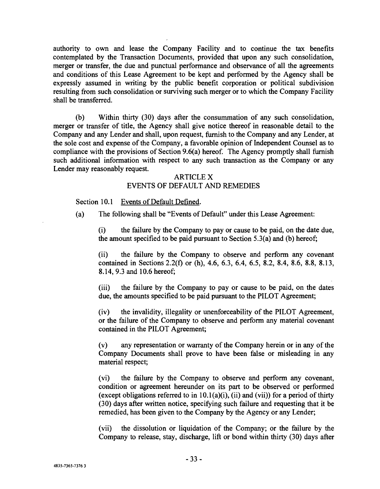authority to own and lease the Company Facility and to continue the tax benefits contemplated by the Transaction Documents, provided that upon any such consolidation, merger or transfer, the due and punctual performance and observance of all the agreements and conditions of this Lease Agreement to be kept and performed by the Agency shall be expressly assumed in writing by the public benefit corporation or political subdivision resulting from such consolidation or surviving such merger or to which the Company Facility shall be transferred.

(b) Within thirty (30) days after the consummation of any such consolidation, merger or transfer of title, the Agency shall give notice thereof in reasonable detail to the Company and any Lender and shall, upon request, furnish to the Company and any Lender, at the sole cost and expense of the Company, a favorable opinion of Independent Counsel as to compliance with the provisions of Section 9.6(a) hereof. The Agency promptly shall furnish such additional information with respect to any such transaction as the Company or any Lender may reasonably request.

#### ARTICLE X

# EVENTS OF DEFAULT AND REMEDIES

Section 10.1 Events of Default Defined.

(a) The following shall be "Events of Default" under this Lease Agreement:

(i) the failure by the Company to pay or cause to be paid, on the date due, the amount specified to be paid pursuant to Section 5.3(a) and (b) hereof;

(ii) the failure by the Company to observe and perform any covenant contained in Sections 2.2(f) or (h), 4.6, 6.3, 6.4, 6.5, 8.2, 8.4, 8.6, 8.8, 8.13, 8.14, 9.3 and 10.6 hereof;

(iii) the failure by the Company to pay or cause to be paid, on the dates due, the amounts specified to be paid pursuant to the PILOT Agreement;

(iv) the invalidity, illegality or unenforceability of the PILOT Agreement, or the failure of the Company to observe and perform any material covenant contained in the PILOT Agreement;

(v) any representation or warranty of the Company herein or in any of the Company Documents shall prove to have been false or misleading in any material respect;

(vi) the failure by the Company to observe and perform any covenant, condition or agreement hereunder on its part to be observed or performed (except obligations referred to in  $10.1(a)(i)$ , (ii) and (vii)) for a period of thirty (30) days after written notice, specifying such failure and requesting that it be remedied, has been given to the Company by the Agency or any Lender;

(vii) the dissolution or liquidation of the Company; or the failure by the Company to release, stay, discharge, lift or bond within thirty (30) days after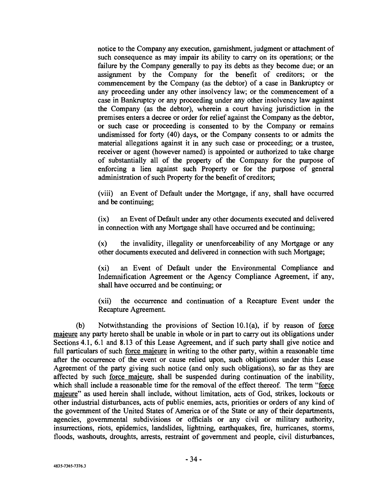notice to the Company any execution, garnishment, judgment or attachment of such consequence as may impair its ability to carry on its operations; or the failure by the Company generally to pay its debts as they become due; or an assignment by the Company for the benefit of creditors; or the commencement by the Company (as the debtor) of a case in Bankruptcy or any proceeding under any other insolvency law; or the commencement of a case in Bankruptcy or any proceeding under any other insolvency law against the Company (as the debtor), wherein a court having jurisdiction in the premises enters a decree or order for relief against the Company as the debtor, or such case or proceeding is consented to by the Company or remains undismissed for forty (40) days, or the Company consents to or admits the material allegations against it in any such case or proceeding; or a trustee, receiver or agent (however named) is appointed or authorized to take charge of substantially all of the property of the Company for the purpose of enforcing a lien against such Property or for the purpose of general administration of such Property for the benefit of creditors;

(viii) an Event of Default under the Mortgage, if any, shall have occurred and be continuing;

(ix) an Event of Default under any other documents executed and delivered in connection with any Mortgage shall have occurred and be continuing;

(x) the invalidity, illegality or unenforceability of any Mortgage or any other documents executed and delivered in connection with such Mortgage;

(xi) an Event of Default under the Environmental Compliance and Indemnification Agreement or the Agency Compliance Agreement, if any, shall have occurred and be continuing; or

(xii) the occurrence and continuation of a Recapture Event under the Recapture Agreement.

(b) Notwithstanding the provisions of Section 10.1(a), if by reason of force majeure any party hereto shall be unable in whole or in part to carry out its obligations under Sections 4.1, 6.1 and 8.13 of this Lease Agreement, and if such party shall give notice and full particulars of such force majeure in writing to the other party, within a reasonable time after the occurrence of the event or cause relied upon, such obligations under this Lease Agreement of the party giving such notice (and only such obligations), so far as they are affected by such force majeure, shall be suspended during continuation of the inability, which shall include a reasonable time for the removal of the effect thereof. The term "force majeure" as used herein shall include, without limitation, acts of God, strikes, lockouts or other industrial disturbances, acts of public enemies, acts, priorities or orders of any kind of the government of the United States of America or of the State or any of their departments, agencies, governmental subdivisions or officials or any civil or military authority, insurrections, riots, epidemics, landslides, lightning, earthquakes, fire, hurricanes, storms, floods, washouts, droughts, arrests, restraint of government and people, civil disturbances,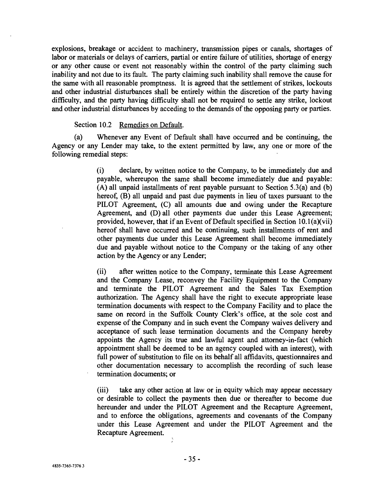explosions, breakage or accident to machinery, transmission pipes or canals, shortages of labor or materials or delays of carriers, partial or entire failure of utilities, shortage of energy or any other cause or event not reasonably within the control of the party claiming such inability and not due to its fault. The party claiming such inability shall remove the cause for the same with all reasonable promptness. It is agreed that the settlement of strikes, lockouts and other industrial disturbances shall be entirely within the discretion of the party having difficulty, and the party having difficulty shall not be required to settle any strike, lockout and other industrial disturbances by acceding to the demands of the opposing party or parties.

#### Section 10.2 Remedies on Default.

(a) Whenever any Event of Default shall have occurred and be continuing, the Agency or any Lender may take, to the extent permitted by law, any one or more of the following remedial steps:

> (i) declare, by written notice to the Company, to be immediately due and payable, whereupon the same shall become immediately due and payable: (A) all unpaid installments of rent payable pursuant to Section 5.3(a) and (b) hereof, (B) all unpaid and past due payments in lieu of taxes pursuant to the PILOT Agreement, (C) all amounts due and owing under the Recapture Agreement, and (D) all other payments due under this Lease Agreement; provided, however, that if an Event of Default specified in Section 10.1(a)(vii) hereof shall have occurred and be continuing, such installments of rent and other payments due under this Lease Agreement shall become immediately due and payable without notice to the Company or the taking of any other action by the Agency or any Lender;

> (ii) after written notice to the Company, terminate this Lease Agreement and the Company Lease, reconvey the Facility Equipment to the Company and terminate the PILOT Agreement and the Sales Tax Exemption authorization. The Agency shall have the right to execute appropriate lease termination documents with respect to the Company Facility and to place the same on record in the Suffolk County Clerk's office, at the sole cost and expense of the Company and in such event the Company waives delivery and acceptance of such lease termination documents and the Company hereby appoints the Agency its true and lawful agent and attorney -in -fact (which appointment shall be deemed to be an agency coupled with an interest), with full power of substitution to file on its behalf all affidavits, questionnaires and other documentation necessary to accomplish the recording of such lease termination documents; or

> (iii) take any other action at law or in equity which may appear necessary or desirable to collect the payments then due or thereafter to become due hereunder and under the PILOT Agreement and the Recapture Agreement, and to enforce the obligations, agreements and covenants of the Company under this Lease Agreement and under the PILOT Agreement and the Recapture Agreement.

ð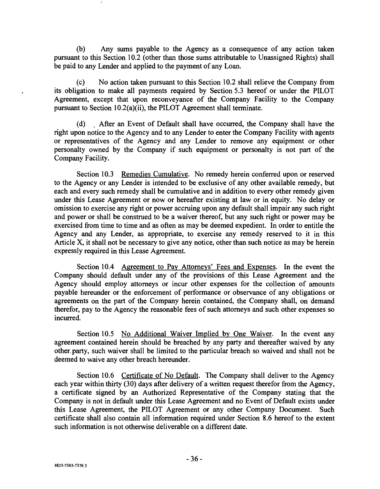(b) Any sums payable to the Agency as a consequence of any action taken pursuant to this Section 10.2 (other than those sums attributable to Unassigned Rights) shall be paid to any Lender and applied to the payment of any Loan.

(c) No action taken pursuant to this Section 10.2 shall relieve the Company from its obligation to make all payments required by Section 5.3 hereof or under the PILOT Agreement, except that upon reconveyance of the Company Facility to the Company pursuant to Section 10.2(a)(ii), the PILOT Agreement shall terminate.

(d) After an Event of Default shall have occurred, the Company shall have the right upon notice to the Agency and to any Lender to enter the Company Facility with agents or representatives of the Agency and any Lender to remove any equipment or other personalty owned by the Company if such equipment or personalty is not part of the Company Facility.

Section 10.3 Remedies Cumulative. No remedy herein conferred upon or reserved to the Agency or any Lender is intended to be exclusive of any other available remedy, but each and every such remedy shall be cumulative and in addition to every other remedy given under this Lease Agreement or now or hereafter existing at law or in equity. No delay or omission to exercise any right or power accruing upon any default shall impair any such right and power or shall be construed to be a waiver thereof, but any such right or power may be exercised from time to time and as often as may be deemed expedient. In order to entitle the Agency and any Lender, as appropriate, to exercise any remedy reserved to it in this Article X, it shall not be necessary to give any notice, other than such notice as may be herein expressly required in this Lease Agreement.

Section 10.4 Agreement to Pay Attorneys' Fees and Expenses. In the event the Company should default under any of the provisions of this Lease Agreement and the Agency should employ attorneys or incur other expenses for the collection of amounts payable hereunder or the enforcement of performance or observance of any obligations or agreements on the part of the Company herein contained, the Company shall, on demand therefor, pay to the Agency the reasonable fees of such attorneys and such other expenses so incurred.

Section 10.5 No Additional Waiver Implied by One Waiver. In the event any agreement contained herein should be breached by any party and thereafter waived by any other.party, such waiver shall be limited to the particular breach so waived and shall not be deemed to waive any other breach hereunder.

Section 10.6 Certificate of No Default. The Company shall deliver to the Agency each year within thirty (30) days after delivery of a written request therefor from the Agency, a certificate signed by an Authorized Representative of the Company stating that the Company is not in default under this Lease Agreement and no Event of Default exists under this Lease Agreement, the PILOT Agreement or any other Company Document. Such certificate shall also contain all information required under Section 8.6 hereof to the extent such information is not otherwise deliverable on a different date.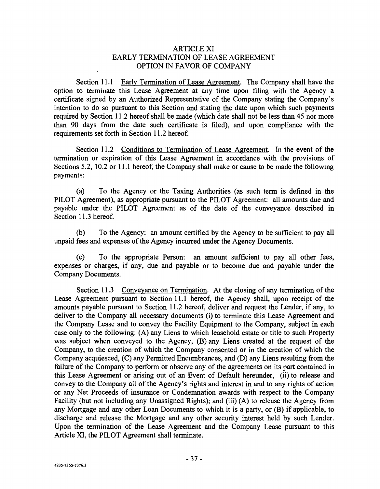# ARTICLE XI EARLY TERMINATION OF LEASE AGREEMENT OPTION IN FAVOR OF COMPANY

Section 11.1 Early Termination of Lease Agreement. The Company shall have the option to terminate this Lease Agreement at any time upon filing with the Agency a certificate signed by an Authorized Representative of the Company stating the Company's intention to do so pursuant to this Section and stating the date upon which such payments required by Section 11.2 hereof shall be made (which date shall not be less than 45 nor more than 90 days from the date such certificate is filed), and upon compliance with the requirements set forth in Section 11.2 hereof.

Section 11.2 Conditions to Termination of Lease Agreement. In the event of the termination or expiration of this Lease Agreement in accordance with the provisions of Sections 5.2, 10.2 or 11.1 hereof, the Company shall make or cause to be made the following payments:

(a) To the Agency or the Taxing Authorities (as such term is defined in the PILOT Agreement), as appropriate pursuant to the PILOT Agreement: all amounts due and payable under the PILOT Agreement as of the date of the conveyance described in Section 11.3 hereof.

(b) To the Agency: an amount certified by the Agency to be sufficient to pay all unpaid fees and expenses of the Agency incurred under the Agency Documents.

(c) To the appropriate Person: an amount sufficient to pay all other fees, expenses or charges, if any, due and payable or to become due and payable under the Company Documents.

Section 11.3 Conveyance on Termination. At the closing of any termination of the Lease Agreement pursuant to Section 11.1 hereof, the Agency shall, upon receipt of the amounts payable pursuant to Section 11.2 hereof, deliver and request the Lender, if any, to deliver to the Company all necessary documents (i) to terminate this Lease Agreement and the Company Lease and to convey the Facility Equipment to the Company, subject in each case only to the following: (A) any Liens to which leasehold estate or title to such Property was subject when conveyed to the Agency, (B) any Liens created at the request of the Company, to the creation of which the Company consented or in the creation of which the Company acquiesced, (C) any Permitted Encumbrances, and (D) any Liens resulting from the failure of the Company to perform or observe any of the agreements on its part contained in this Lease Agreement or arising out of an Event of Default hereunder, (ii) to release and convey to the Company all of the Agency's rights and interest in and to any rights of action or any Net Proceeds of insurance or Condemnation awards with respect to the Company Facility (but not including any Unassigned Rights); and (iii) (A) to release the Agency from any Mortgage and any other Loan Documents to which it is a party, or (B) if applicable, to discharge and release the Mortgage and any other security interest held by such Lender. Upon the termination of the Lease Agreement and the Company Lease pursuant to this Article XI, the PILOT Agreement shall terminate.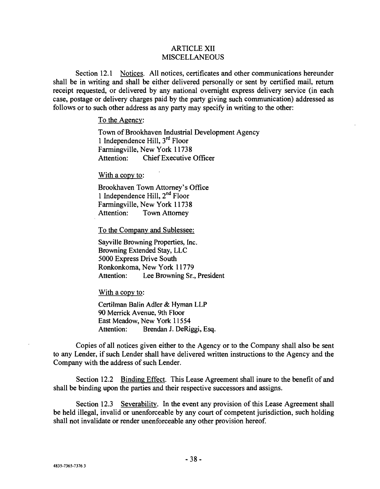### ARTICLE XII MISCELLANEOUS

Section 12.1 Notices. All notices, certificates and other communications hereunder shall be in writing and shall be either delivered personally or sent by certified mail, return receipt requested, or delivered by any national overnight express delivery service (in each case, postage or delivery charges paid by the party giving such communication) addressed as follows or to such other address as any party may specify in writing to the other:

#### To the Agency:

Town of Brookhaven Industrial Development Agency 1 Independence Hill,  $3<sup>rd</sup>$  Floor Farmingville, New York 11738 Attention: Chief Executive Officer

#### With a copy to:

Brookhaven Town Attorney's Office 1 Independence Hill,  $2<sup>nd</sup>$  Floor Farmingville, New York 11738 Attention: Town Attorney

To the Company and Sublessee:

Sayville Browning Properties, Inc. Browning Extended Stay, LLC 5000 Express Drive South Ronkonkoma, New York 11779 Attention: Lee Browning Sr., President

With a copy to:

Certilman Balin Adler & Hyman LLP 90 Merrick Avenue, 9th Floor East Meadow, New York 11554 Attention: Brendan J. DeRiggi, Esq.

Copies of all notices given either to the Agency or to the Company shall also be sent to any Lender, if such Lender shall have delivered written instructions to the Agency and the Company with the address of such Lender.

Section 12.2 Binding Effect. This Lease Agreement shall inure to the benefit of and shall be binding upon the parties and their respective successors and assigns.

Section 12.3 Severability. In the event any provision of this Lease Agreement shall be held illegal, invalid or unenforceable by any court of competent jurisdiction, such holding shall not invalidate or render unenforceable any other provision hereof.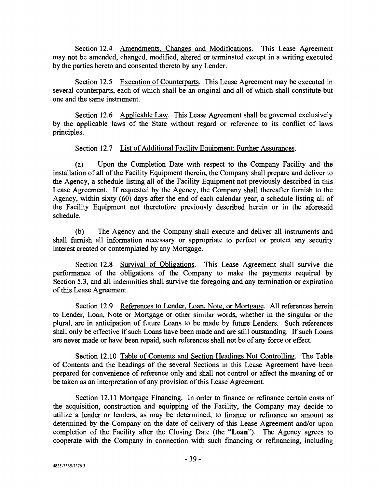Section 12.4 Amendments, Changes and Modifications. This Lease Agreement may not be amended, changed, modified, altered or terminated except in a writing executed by the parties hereto and consented thereto by any Lender.

Section 12.5 Execution of Counterparts. This Lease Agreement may be executed in several counterparts, each of which shall be an original and all of which shall constitute but one and the same instrument.

Section 12.6 Applicable Law. This Lease Agreement shall be governed exclusively by the applicable laws of the State without regard or reference to its conflict of laws principles.

# Section 12.7 List of Additional Facility Equipment; Further Assurances.

(a) Upon the Completion Date with respect to the Company Facility and the installation of all of the Facility Equipment therein, the Company shall prepare and deliver to the Agency, a schedule listing all of the Facility Equipment not previously described in this Lease Agreement. If requested by the Agency, the Company shall thereafter furnish to the Agency, within sixty (60) days after the end of each calendar year, a schedule listing all of the Facility Equipment not theretofore previously described herein or in the aforesaid schedule.

(b) The Agency and the Company shall execute and deliver all instruments and shall furnish all information necessary or appropriate to perfect or protect any security interest created or contemplated by any Mortgage.

Section 12.8 Survival of Obligations. This Lease Agreement shall survive the performance of the obligations of the Company to make the payments required by Section 5.3, and all indemnities shall survive the foregoing and any termination or expiration of this Lease Agreement.

Section 12.9 References to Lender, Loan, Note, or Mortgage. All references herein to Lender, Loan, Note or Mortgage or other similar words, whether in the singular or the plural, are in anticipation of future Loans to be made by future Lenders. Such references shall only be effective if such Loans have been made and are still outstanding. If such Loans are never made or have been repaid, such references shall not be of any force or effect.

Section 12.10 Table of Contents and Section Headings Not Controlling. The Table of Contents and the headings of the several Sections in this Lease Agreement have been prepared for convenience of reference only and shall not control or affect the meaning of or be taken as an interpretation of any provision of this Lease Agreement.

Section 12.11 Mortgage Financing. In order to finance or refinance certain costs of the acquisition, construction and equipping of the Facility, the Company may decide to utilize a lender or lenders, as may be determined, to finance or refinance an amount as determined by the Company on the date of delivery of this Lease Agreement and/or upon completion of the Facility after the Closing Date (the "Loan"). The Agency agrees to cooperate with the Company in connection with such financing or refinancing, including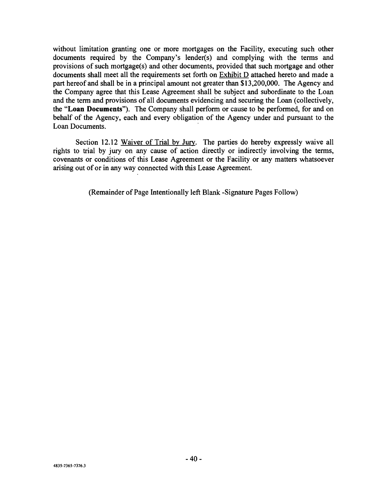without limitation granting one or more mortgages on the Facility, executing such other documents required by the Company's lender(s) and complying with the terms and provisions of such mortgage(s) and other documents, provided that such mortgage and other documents shall meet all the requirements set forth on Exhibit D attached hereto and made a part hereof and shall be in a principal amount not greater than \$13,200,000. The Agency and the Company agree that this Lease Agreement shall be subject and subordinate to the Loan and the term and provisions of all documents evidencing and securing the Loan (collectively, the "Loan Documents"). The Company shall perform or cause to be performed, for and on behalf of the Agency, each and every obligation of the Agency under and pursuant to the Loan Documents.

Section 12.12 Waiver of Trial by Jury. The parties do hereby expressly waive all rights to trial by jury on any cause of action directly or indirectly involving the terms, covenants or conditions of this Lease Agreement or the Facility or any matters whatsoever arising out of or in any way connected with this Lease Agreement.

(Remainder of Page Intentionally left Blank -Signature Pages Follow)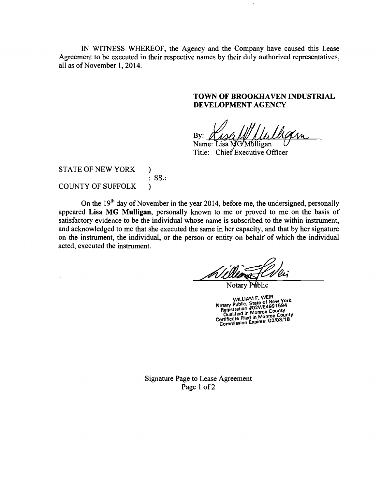IN WITNESS WHEREOF, the Agency and the Company have caused this Lease Agreement to be executed in their respective names by their duly authorized representatives, all as of November 1, 2014.

# TOWN OF BROOKHAVEN INDUSTRIAL DEVELOPMENT AGENCY

By:

Name: Lisa MG/Mulligan Title: Chief Executive Officer

STATE OF NEW YORK COUNTY OF SUFFOLK ) : SS.: )

On the  $19<sup>th</sup>$  day of November in the year 2014, before me, the undersigned, personally appeared Lisa MG Mulligan, personally known to me or proved to me on the basis of satisfactory evidence to be the individual whose name is subscribed to the within instrument, and acknowledged to me that she executed the same in her capacity, and that by her signature on the instrument, the individual, or the person or entity on behalf of which the individual acted, executed the instrument.

Notary Public

WILLIAM F. WEIN<br>Notary Public, State of New York<br>Registration #02WE4991594<br>Qualified in Monroe County Qualified in Monroe County<br>Certificate Filed in Monroe County<br>Commission Expires: 02/03/18 02103/18

Signature Page to Lease Agreement Page 1 of 2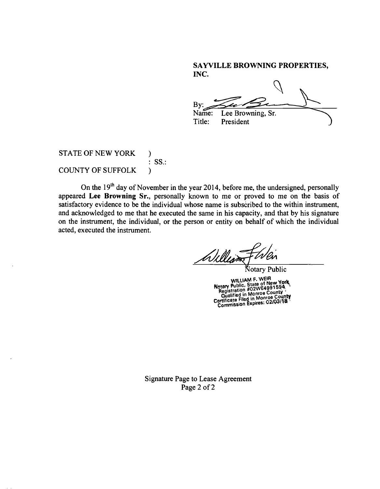# SAYVILLE BROWNING PROPERTIES, INC.

By: Name: Lee Browning, Sr.<br>Title: President President

# STATE OF NEW YORK ) : SS.: COUNTY OF SUFFOLK )

On the  $19<sup>th</sup>$  day of November in the year 2014, before me, the undersigned, personally appeared Lee Browning Sr., personally known to me or proved to me on the basis of satisfactory evidence to be the individual whose name is subscribed to the within instrument, and acknowledged to me that he executed the same in his capacity, and that by his signature on the instrument, the individual, or the person or entity on behalf of which the individual acted, executed the instrument.

Notary Public WILLIAM F. WEIH<br>
Notary Public, State of New York<br>
Registration #02WE4991594<br>
Qualified in Monroe County<br>
Qualified in Monroe County

Certificate Filed in Womes: 02/03/18

Signature Page to Lease Agreement Page 2 of 2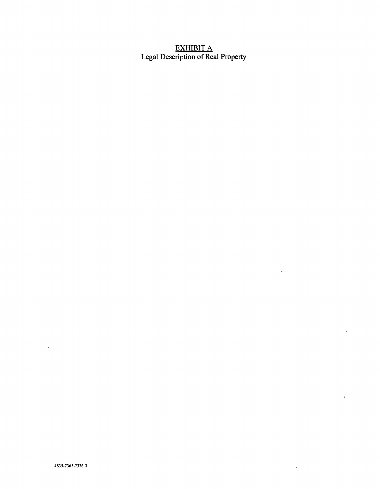# EXHIBIT A Legal Description of Real Property

 $\omega_{\rm{max}}$  ,  $\omega_{\rm{max}}$ 

 $\bar{\infty}$ 

 $\hat{\chi}$ 

 $\bar{\mathbf{r}}$ 

 $\sim 10^{-10}$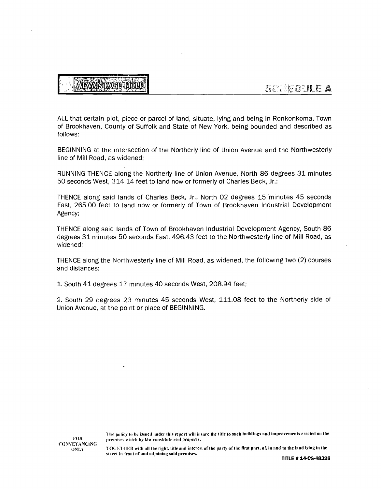**IMGBADIU** 

ALL that certain plot, piece or parcel of land, situate, lying and being in Ronkonkoma, Town of Brookhaven, County of Suffolk and State of New York, being bounded and described as follows:

BEGINNING at the intersection of the Northerly line of Union Avenue and the Northwesterly line of Mill Road, as widened;

RUNNING THENCE along the Northerly line of Union Avenue, North 86 degrees 31 minutes 50 seconds West, 314.14 feet to land now or formerly of Charles Beck, Jr.;

THENCE along said lands of Charles Beck, Jr., North 02 degrees 15 'minutes 45 seconds East, 265.00 feet to land now or formerly of Town of Brookhaven Industrial Development Agency;

THENCE along said lands of Town of Brookhaven Industrial Development Agency, South 86 degrees 31 minutes 50 seconds East, 496.43 feet to the Northwesterly line of Mill Road, as widened;

THENCE along the Northwesterly line of Mill Road, as widened, the following two (2) courses and distances:

1. South 41 degrees 17 minutes 40 seconds West, 208.94 feet;

2. South 29 degrees 23 minutes 45 seconds West, 111.08 feet to the Northerly side of Union Avenue, at the point or place of BEGINNING.

TOGETHER with all the right, title and interest of the party of the first part, of, in and to the land lying in the<br>street in front of and adjoining said premises.

<sup>&</sup>quot;1 he policy to he issued under Ihis'report will insure the title to such buildings and improvements erected on the premises which by law constitute real property.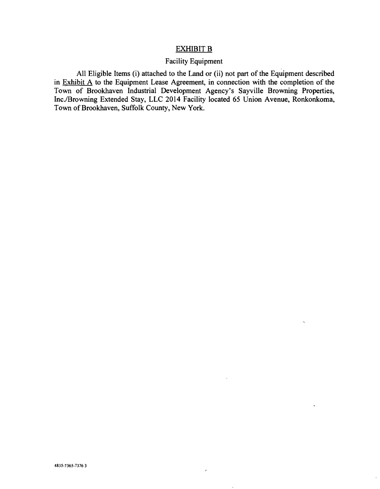# EXHIBIT B

#### Facility Equipment

All Eligible Items (i) attached to the Land or (ii) not part of the Equipment described in Exhibit  $\overline{A}$  to the Equipment Lease Agreement, in connection with the completion of the Town of Brookhaven Industrial Development Agency's Sayville Browning Properties, Inc./Browning Extended Stay, LLC 2014 Facility located 65 Union Avenue, Ronkonkoma, Town of Brookhaven, Suffolk County, New York.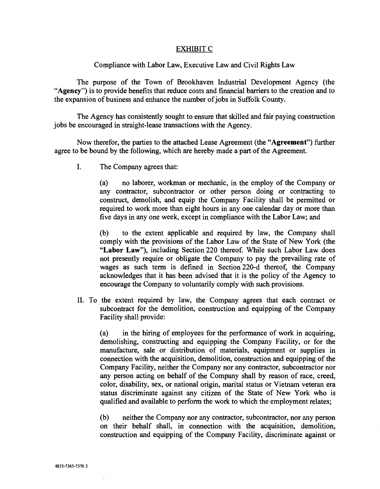### EXHIBIT C

### Compliance with Labor Law, Executive Law and Civil Rights Law

The purpose of the Town of Brookhaven Industrial Development Agency (the "Agency") is to provide benefits that reduce costs and financial barriers to the creation and to the expansion of business and enhance the number of jobs in Suffolk County.

The Agency has consistently sought to ensure that skilled and fair paying construction jobs be encouraged in straight -lease transactions with the Agency.

Now therefor, the parties to the attached Lease Agreement (the "Agreement") further agree to be bound by the following, which are hereby made a part of the Agreement.

I. The Company agrees that:

(a) no laborer, workman or mechanic, in the employ of the Company or any contractor, subcontractor or other person doing or contracting to construct, demolish, and equip the Company Facility shall be permitted or required to work more than eight hours in any one calendar day or more than five days in any one week, except in compliance with the Labor Law; and

(b) to the extent applicable and required by law, the Company shall comply with the provisions of the Labor Law of the State of New York (the "Labor Law"), including Section 220 thereof. While such Labor Law does not presently require or obligate the Company to pay the prevailing rate of wages as such term is defined in Section 220-d thereof, the Company acknowledges that it has been advised that it is the policy of the Agency to encourage the Company to voluntarily comply with such provisions.

II. To the extent required by law, the Company agrees that each contract or subcontract for the demolition, construction and equipping of the Company Facility shall provide:

(a) in the hiring of employees for the performance of work in acquiring, demolishing, constructing and equipping the Company Facility, or for the manufacture, sale or distribution of materials, equipment or supplies in connection with the acquisition, demolition, construction and equipping of the Company Facility, neither the Company nor any contractor, subcontractor nor any person acting on behalf of the Company shall by reason of race, creed, color, disability, sex, or national origin, marital status or Vietnam veteran era status discriminate against any citizen of the State of New York who is qualified and available to perform the work to which the employment relates;

(b) neither the Company nor any contractor, subcontractor, nor any person on their behalf shall, in connection with the acquisition, demolition, construction and equipping of the Company Facility, discriminate against or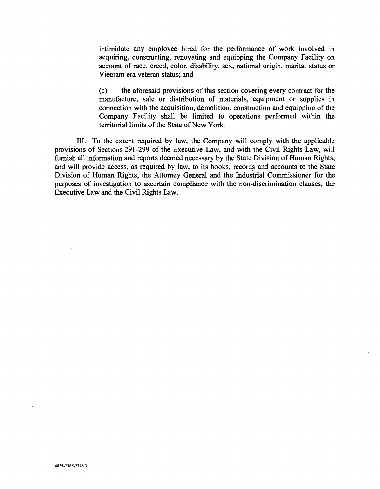intimidate any employee hired for the performance of work involved in acquiring, constructing, renovating and equipping the Company Facility on account of race, creed, color, disability, sex, national origin, marital status or Vietnam era veteran status; and

(c) the aforesaid provisions of this section covering every contract for the manufacture, sale or distribution of materials, equipment or supplies in connection with the acquisition, demolition, construction and equipping of the Company Facility shall be limited to operations performed within the territorial limits of the State of New York.

III. To the extent required by law, the Company will comply with the applicable provisions of Sections 291 -299 of the Executive Law, and with the Civil Rights Law, will furnish all information and reports deemed necessary by the State Division of Human Rights, and will provide access, as required by law, to its books, records and accounts to the State Division of Human Rights, the Attorney General and the Industrial Commissioner for the purposes of investigation to ascertain compliance with the non -discrimination clauses, the Executive Law and the Civil Rights Law.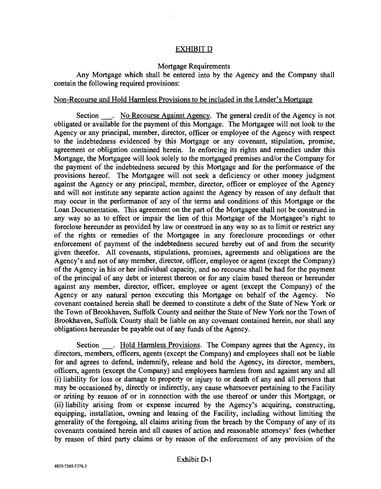### EXHIBIT D

#### Mortgage Requirements

Any Mortgage which shall be entered into by the Agency and the Company shall contain the following required provisions:

### Non -Recourse and Hold Harmless Provisions to be included in the Lender's Mortgage

Section . No Recourse Against Agency. The general credit of the Agency is not obligated or available for the payment of this Mortgage. The Mortgagee will not look to the Agency or any principal, member, director, officer or employee of the Agency with respect to the indebtedness evidenced by this Mortgage or any covenant, stipulation, promise, agreement or obligation contained herein. In enforcing its rights and remedies under this Mortgage, the Mortgagee will look solely to the mortgaged premises and/or the Company for the payment of the indebtedness secured by this Mortgage and for the performance of the provisions hereof. The Mortgagee will not seek a deficiency or other money judgment against the Agency or any principal, member, director, officer or employee of the Agency and will not institute any separate action against the Agency by reason of any default that may occur in the performance of any of the terms and conditions of this Mortgage or the Loan Documentation. This agreement on the part of the Mortgagee shall not be construed in any way so as to effect or impair the lien of this Mortgage of the Mortgagee's right to foreclose hereunder as provided by law or construed in any way so as to limit or restrict any of the rights or remedies of the Mortgagee in any foreclosure proceedings or other enforcement of payment of the indebtedness secured hereby out of and from the security given therefor. All covenants, stipulations, promises, agreements and obligations are the Agency's and not of any member, director, officer, employee or agent (except the Company) of the Agency in his or her individual capacity, and no recourse shall be had for the payment of the principal of any debt or interest thereon or for any claim based thereon or hereunder against any member, director, officer, employee or agent (except the Company) of the Agency or any natural person executing this Mortgage on behalf of the Agency. No covenant contained herein shall be deemed to constitute a debt of the State of New York or the Town of Brookhaven, Suffolk County and neither the State of New York nor the Town of Brookhaven, Suffolk County shall be liable on any covenant contained herein, nor shall any obligations hereunder be payable out of any funds of the Agency.

Section . Hold Harmless Provisions. The Company agrees that the Agency, its directors, members, officers, agents (except the Company) and employees shall not be liable for and agrees to defend, indemnify, release and hold the Agency, its director, members, officers, agents (except the Company) and employees harmless from and against any and all (i) liability for loss or damage to property or injury to or death of any and all persons that may be occasioned by, directly or indirectly, any cause whatsoever pertaining to the Facility or arising by reason of or in connection with the use thereof or under this Mortgage, or (ii) liability arising from or expense incurred by the Agency's acquiring, constructing, equipping, installation, owning and leasing of the Facility, including without limiting the generality of the foregoing, all claims arising from the breach by the Company of any of its covenants contained herein and all causes of action and reasonable attorneys' fees (whether by reason of third party claims or by reason of the enforcement of any provision of the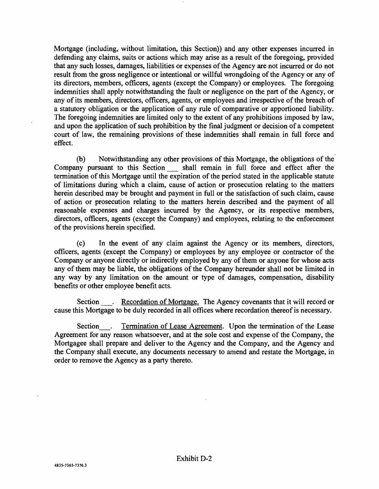Mortgage (including; without limitation, this Section)) and any other expenses incurred in defending any claims, suits or actions which may arise as a result of the foregoing, provided that any such losses, damages, liabilities or expenses of the Agency are not incurred or do not result from the gross negligence or intentional or willful wrongdoing of the Agency or any of its directors, members, officers, agents (except the Company) or employees. The foregoing indemnities shall apply notwithstanding the fault or negligence on the part of the Agency, or any of its members, directors, officers, agents, or employees and irrespective of the breach of a statutory obligation or the application of any rule of comparative or apportioned liability. The foregoing indemnities are limited only to the extent of any prohibitions imposed by law, and upon the application of such prohibition by the final judgment or decision of a competent court of law, the remaining provisions of these indemnities shall remain in full force and effect.

(b) Notwithstanding any other provisions of this Mortgage, the obligations of the Company pursuant to this Section shall remain in full force and effect after the termination of this Mortgage until the expiration of the period stated in the applicable statute of limitations during which a claim, cause of action or prosecution relating to the matters herein described may be brought and payment in full or the satisfaction of such claim, cause of action or prosecution relating to the matters herein described and the payment of all reasonable expenses and charges incurred by the Agency, or its respective members, directors, officers, agents (except the Company) and employees, relating to the enforcement of the provisions herein specified.

(c) In the event of any claim against the Agency or its members, directors, officers, agents (except the Company) or employees by any employee or contractor of the Company or anyone directly or indirectly employed by any of them or anyone for whose acts any of them may be liable, the obligations of the Company hereunder shall not be limited in any way by any limitation on the amount or type of damages, compensation, disability benefits or other employee benefit acts.

Section . Recordation of Mortgage. The Agency covenants that it will record or cause this Mortgage to be duly recorded in all offices where recordation thereof is necessary.

Section . Termination of Lease Agreement. Upon the termination of the Lease Agreement for any reason whatsoever, and at the sole cost and expense of the Company, the Mortgagee shall prepare and deliver to the Agency and the Company, and the Agency and the Company shall execute, any documents necessary to amend and restate the Mortgage, in order to remove the Agency as a party thereto.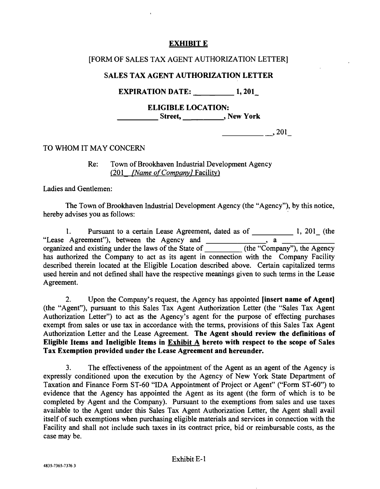# EXHIBIT E

# [FORM OF SALES TAX AGENT AUTHORIZATION LETTER]

# SALES TAX AGENT AUTHORIZATION LETTER

EXPIRATION DATE: 1, 201

ELIGIBLE LOCATION: <u>\_\_\_\_\_\_</u> Street, \_\_\_\_\_\_\_\_\_\_\_\_\_\_, New York

 $\frac{1}{201}$ , 201

TO WHOM IT MAY CONCERN

Re: Town of Brookhaven Industrial Development Agency  $(201$  *[Name of Company]* Facility)

Ladies and Gentlemen:

The Town of Brookhaven Industrial Development Agency (the "Agency "), by this notice, hereby advises you as follows:

1. Pursuant to a certain Lease Agreement, dated as of \_\_\_\_\_\_\_\_\_\_\_\_\_ 1, 201\_ (the "Lease Agreement"), between the Agency and \_\_\_\_\_\_\_\_\_\_\_\_\_\_\_, a \_\_\_ organized and existing under the laws of the State of \_\_\_\_\_\_\_\_\_\_ (the "Company"), the Agency has authorized the Company to act as its agent in connection with the Company Facility described therein located at the Eligible Location described above. Certain capitalized terms used herein and not defined shall have the respective meanings given to such terms in the Lease Agreement.

2. Upon the Company's request, the Agency has appointed [insert name of Agent] (the "Agent "), pursuant to this Sales Tax Agent Authorization Letter (the "Sales Tax Agent Authorization Letter") to act as the Agency's agent for the purpose of effecting purchases exempt from sales or use tax in accordance with the terms, provisions of this Sales Tax Agent Authorization Letter and the Lease Agreement. The Agent should review the definitions of Eligible Items and Ineligible Items in Exhibit A hereto with respect to the scope of Sales Tax Exemption provided under the Lease Agreement and hereunder.

3. The effectiveness of the appointment of the Agent as an agent of the Agency is expressly conditioned upon the execution by the Agency of New York State Department of Taxation and Finance Form ST-60 "IDA Appointment of Project or Agent" ("Form ST-60") to evidence that the Agency has appointed the Agent as its agent (the form of which is to be completed by Agent and the Company). Pursuant to the exemptions from sales and use taxes available to the Agent under this Sales Tax Agent Authorization Letter, the Agent shall avail itself of such exemptions when purchasing eligible materials and services in connection with the Facility and shall not include such taxes in its contract price, bid or reimbursable costs, as the case may be.

# Exhibit E-1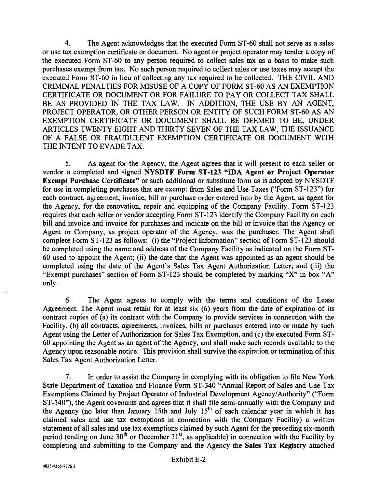4. The Agent acknowledges that the executed Form ST -60 shall not serve as a sales or use tax exemption certificate or document. No agent or project operator may tender a copy of the executed Form ST -60 to any person required to collect sales tax as a basis to make such purchases exempt from tax. No such person required to collect sales or use taxes may accept the executed Form ST-60 in lieu of collecting any tax required to be collected. THE CIVIL AND CRIMINAL PENALTIES FOR MISUSE OF A COPY OF FORM ST -60 AS AN EXEMPTION CERTIFICATE OR DOCUMENT OR FOR FAILURE TO PAY OR COLLECT TAX SHALL BE AS PROVIDED IN THE TAX LAW. IN ADDITION, THE USE BY AN AGENT, PROJECT OPERATOR, OR OTHER PERSON OR ENTITY OF SUCH FORM ST-60 AS AN EXEMPTION CERTIFICATE OR DOCUMENT SHALL BE DEEMED TO BE, UNDER ARTICLES TWENTY EIGHT AND THIRTY SEVEN OF THE TAX LAW, THE ISSUANCE OF A FALSE OR FRAUDULENT EXEMPTION CERTIFICATE OR DOCUMENT WITH THE INTENT TO EVADE TAX.

5. As agent for the Agency, the Agent agrees that it will present to each seller or vendor a completed and signed NYSDTF Form ST -123 "IDA Agent or Project Operator Exempt Purchase Certificate" or such additional or substitute form as is adopted by NYSDTF for use in completing purchases that are exempt from Sales and Use Taxes ("Form ST-123") for each contract, agreement, invoice, bill or purchase order entered into by the Agent, as agent for the Agency, for the renovation, repair and equipping of the Company Facility. Form ST -123 requires that each seller or vendor accepting Form ST -123 identify the Company Facility on each bill and invoice and invoice for purchases and indicate on the bill or invoice that the Agency or Agent or Company, as project operator of the Agency, was the purchaser. The Agent shall complete Form ST-123 as follows: (i) the "Project Information" section of Form ST-123 should be completed using the name and address of the Company Facility as indicated on the Form ST-60 used to appoint the Agent; (ii) the date that the Agent was appointed as an agent should be completed using the date of the Agent's Sales Tax Agent Authorization Letter; and (iii) the "Exempt purchases" section of Form ST -123 should be completed by marking "X" in box "A" only.

6. The Agent agrees to comply with the terms and conditions of the Lease Agreement. The Agent must retain for at least six (6) years from the date of expiration of its contract copies of (a) its contract with the Company to provide services in connection with the Facility, (b) all contracts, agreements, invoices, bills or purchases entered into or made by such Agent using the Letter of Authorization for Sales Tax Exemption, and (c) the executed Form ST-60 appointing the Agent as an agent of the Agency, and shall make such records available to the Agency upon reasonable notice. This provision shall survive the expiration or termination of this Sales Tax Agent Authorization Letter.

7. In order to assist the Company in complying with its obligation to file New York State Department of Taxation and Finance Form ST -340 "Annual Report of Sales and Use Tax Exemptions Claimed by Project Operator of Industrial Development Agency /Authority" ( "Form ST-340"), the Agent covenants and agrees that it shall file semi-annually with the Company and the Agency (no later than January 15th and July  $15<sup>th</sup>$  of each calendar year in which it has claimed sales and use tax exemptions in connection with the Company Facility) a written statement of all sales and use tax exemptions claimed by such Agent for the preceding six -month period (ending on June  $30<sup>th</sup>$  or December  $31<sup>st</sup>$ , as applicable) in connection with the Facility by completing and submitting to the Company and the Agency the Sales Tax Registry attached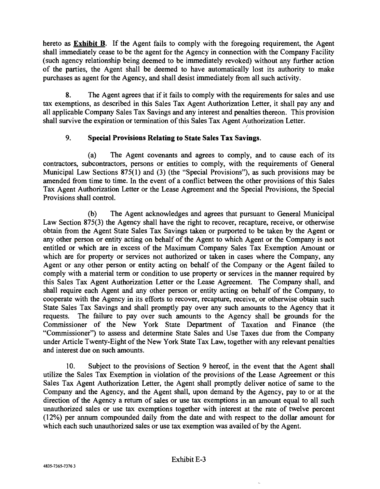hereto as Exhibit B. If the Agent fails to comply with the foregoing requirement, the Agent shall immediately cease to be the agent for the Agency in connection with the Company Facility (such agency relationship being deemed to be immediately revoked) without any further action of the parties, the Agent shall be deemed to have automatically lost its authority to make purchases as agent for the Agency, and shall desist immediately from all such activity.

8. The Agent agrees that if it fails to comply with the requirements for sales and use tax exemptions, as described in this Sales Tax Agent Authorization Letter, it shall pay any and all applicable Company Sales Tax Savings and any interest and penalties thereon. This provision shall survive the expiration or termination of this Sales Tax Agent Authorization Letter.

# 9. Special Provisions Relating to State Sales Tax Savings.

(a) The Agent covenants and agrees to comply, and to cause each of its contractors, subcontractors, persons or entities to comply, with the requirements of General Municipal Law Sections 875(1) and (3) (the "Special Provisions"), as such provisions may be amended from time to time. In the event of a conflict between the other provisions of this Sales Tax Agent Authorization Letter or the Lease Agreement and the Special Provisions, the Special Provisions shall control.

(b) The Agent acknowledges and agrees that pursuant to General Municipal Law Section 875(3) the Agency shall have the right to recover, recapture, receive, or otherwise obtain from the Agent State Sales Tax Savings taken or purported to be taken by the Agent or any other person or entity acting on behalf of the Agent to which Agent or the Company is not entitled or which are in excess of the Maximum Company Sales Tax Exemption Amount or which are for property or services not authorized or taken in cases where the Company, any Agent or any other person or entity acting on behalf of the Company or the Agent failed to comply with a material term or condition to use property or services in the manner required by this Sales Tax Agent Authorization Letter or the Lease Agreement. The Company shall, and shall require each Agent and any other person or entity acting on behalf of the Company, to cooperate with the Agency in its efforts to recover, recapture, receive, or otherwise obtain such State Sales Tax Savings and shall promptly pay over any such amounts to the Agency that it requests. The failure to pay over such amounts to the Agency shall be grounds for the Commissioner of the New York State Department of Taxation and Finance (the "Commissioner") to assess and determine State Sales and Use Taxes due from the Company under Article Twenty-Eight of the New York State Tax Law, together with any relevant penalties and interest due on such amounts.

10. Subject to the provisions of Section 9 hereof, in the event that the Agent shall utilize the Sales Tax Exemption in violation of the provisions of the Lease Agreement or this Sales Tax Agent Authorization Letter, the Agent shall promptly deliver notice of same to the Company and the Agency, and the Agent shall, upon demand by the Agency, pay to or at the direction of the Agency a return of sales or use tax exemptions in an amount equal to all such unauthorized sales or use tax exemptions together with interest at the rate of twelve percent (12 %) per annum compounded daily from the date and with respect to the dollar amount for which each such unauthorized sales or use tax exemption was availed of by the Agent.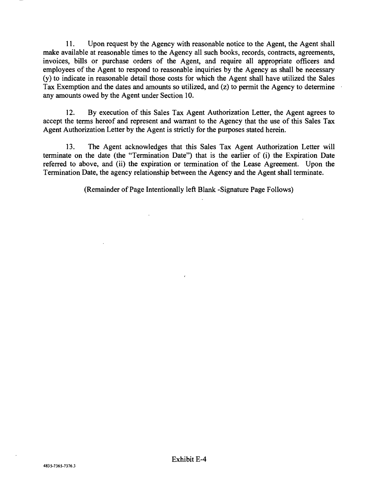11. Upon request by the Agency with reasonable notice to the Agent, the Agent shall make available at reasonable times to the Agency all such books, records, contracts, agreements, invoices, bills or purchase orders of the Agent, and require all appropriate officers and employees of the Agent to respond to reasonable inquiries by the Agency as shall be necessary (y) to indicate in reasonable detail those costs for which the Agent shall have utilized the Sales Tax Exemption and the dates and amounts so utilized, and (z) to permit the Agency to determine any amounts owed by the Agent under Section 10.

12. By execution of this Sales Tax Agent Authorization Letter, the Agent agrees to accept the terms hereof and represent and warrant to the Agency that the use of this Sales Tax Agent Authorization Letter by the Agent is strictly for the purposes stated herein.

13. The Agent acknowledges that this Sales Tax Agent Authorization Letter will terminate on the date (the "Termination Date") that is the earlier of (i) the Expiration Date referred to above, and (ii) the expiration or termination of the Lease Agreement. Upon the Termination Date, the agency relationship between the Agency and the Agent shall terminate.

(Remainder of Page Intentionally left Blank -Signature Page Follows)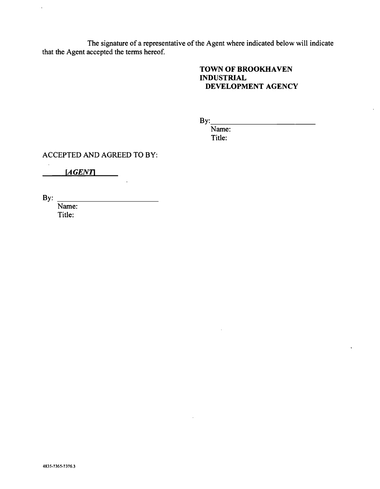The signature of a representative of the Agent where indicated below will indicate that the Agent accepted the terms hereof.

# TOWN OF BROOKHAVEN INDUSTRIAL DEVELOPMENT AGENCY

By:

Name: Title:

ACCEPTED AND AGREED TO BY:

 $\bar{z}$ 

[AGENT]

By:

 $\bar{\lambda}$ 

Name: Title: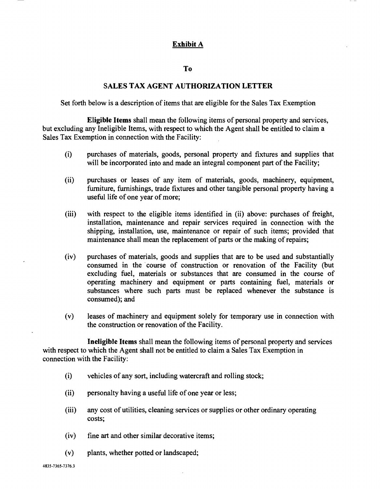# Exhibit A

### To

### SALES TAX AGENT AUTHORIZATION LETTER

Set forth below is a description of items that are eligible for the Sales Tax Exemption

Eligible Items shall mean the following items of personal property and services, but excluding any Ineligible Items, with respect to which the Agent shall be entitled to claim a Sales Tax Exemption in connection with the Facility:

- (i) purchases of materials, goods, personal property and fixtures and supplies that will be incorporated into and made an integral component part of the Facility;
- (ii) purchases or leases of any item of materials, goods, machinery, equipment, furniture, furnishings, trade fixtures and other tangible personal property having a useful life of one year of more;
- (iii) with respect to the eligible items identified in (ii) above: purchases of freight, installation, maintenance and repair services required in connection with the shipping, installation, use, maintenance or repair of such items; provided that maintenance shall mean the replacement of parts or the making of repairs;
- (iv) purchases of materials, goods and supplies that are to be used and substantially consumed in the course of construction or renovation of the Facility (but excluding fuel, materials or substances that are consumed in the course of operating machinery and equipment or parts containing fuel, materials or substances where such parts must be replaced whenever the substance is consumed); and
- (v) leases of machinery and equipment solely for temporary use in connection with the construction or renovation of the Facility.

Ineligible Items shall mean the following items of personal property and services with respect to which the Agent shall not be entitled to claim a Sales Tax Exemption in connection with the Facility:

- (i) vehicles of any sort, including watercraft and rolling stock;
- (ii) personalty having a useful life of one year or less;
- (iii) any cost of utilities, cleaning services or supplies or other ordinary operating costs;
- (iv) fine art and other similar decorative items;
- (v) plants, whether potted or landscaped;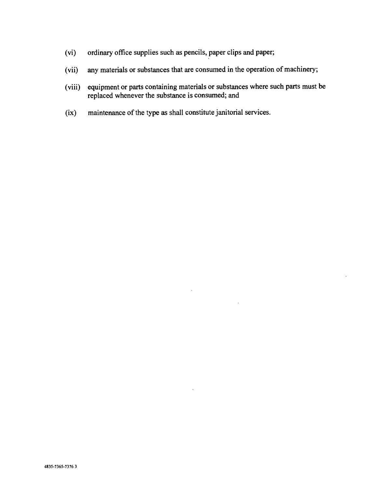- (vi) ordinary office supplies such as pencils, paper clips and paper;
- (vii) any materials or substances that are consumed in the operation of machinery;
- (viii) equipment or parts containing materials or substances where such parts must be replaced whenever the substance is consumed; and

 $\bar{\mathcal{A}}$ 

 $\Delta$ 

 $\mathcal{L}$ 

(ix) maintenance of the type as shall constitute janitorial services.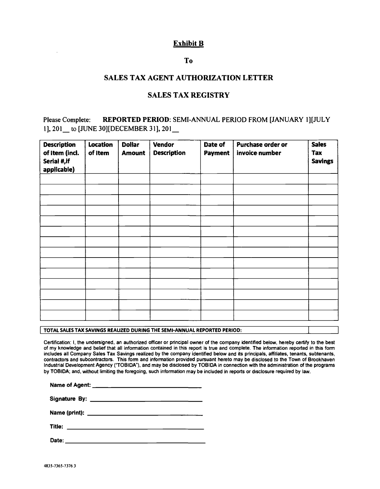# Exhibit B

## To

### SALES TAX AGENT AUTHORIZATION LETTER

### SALES TAX REGISTRY

# Please Complete: REPORTED PERIOD: SEMI-ANNUAL PERIOD FROM [JANUARY 1][JULY I], 201\_ to [JUNE 30][DECEMBER 31], 201\_

| <b>Description</b><br>of Item (incl.<br>Serial #, if<br>applicable) | Location<br>of Item | <b>Dollar</b><br><b>Amount</b> | Vendor<br><b>Description</b> | Date of<br><b>Payment</b> | <b>Purchase order or</b><br>invoice number | <b>Sales</b><br>Tax<br><b>Savings</b> |
|---------------------------------------------------------------------|---------------------|--------------------------------|------------------------------|---------------------------|--------------------------------------------|---------------------------------------|
|                                                                     |                     |                                |                              |                           |                                            |                                       |
|                                                                     |                     |                                |                              |                           |                                            |                                       |
|                                                                     |                     |                                |                              |                           |                                            |                                       |
|                                                                     |                     |                                |                              |                           |                                            |                                       |
|                                                                     |                     |                                |                              |                           |                                            |                                       |
|                                                                     |                     |                                |                              |                           |                                            |                                       |
|                                                                     |                     |                                |                              |                           |                                            |                                       |
|                                                                     |                     |                                |                              |                           |                                            |                                       |
|                                                                     |                     |                                |                              |                           |                                            |                                       |
|                                                                     |                     |                                |                              |                           |                                            |                                       |
|                                                                     |                     |                                |                              |                           |                                            |                                       |

TOTAL SALES TAX SAVINGS REALIZED DURING THE SEMI -ANNUAL REPORTED PERIOD:

Certification: I, the undersigned, an authorized officer or principal owner of the company identified below, hereby certify to the best of my knowledge and belief that all information contained in this report is true and complete. The information reported in this form includes all Company Sales Tax Savings realized by the company identified below and its principals, affiliates, tenants, subtenants, contractors and subcontractors. This form and information provided pursuant hereto may be disclosed to the Town of Brookhaven Industrial Development Agency ("TOBIDA"), and may be disclosed by TOBIDA in connection with the administration of the programs by TOBIDA; and, without limiting the foregoing, such information may be included in reports or disclosure required by law.

|        | Name of Agent: _____ ____________________________                                                                                                                                                                             |  |
|--------|-------------------------------------------------------------------------------------------------------------------------------------------------------------------------------------------------------------------------------|--|
|        | Signature By: the contract of the contract of the contract of the contract of the contract of the contract of the contract of the contract of the contract of the contract of the contract of the contract of the contract of |  |
|        |                                                                                                                                                                                                                               |  |
| Title: |                                                                                                                                                                                                                               |  |

Date: <u>with the contract of the contract of the contract of the contract of the contract of the contract of the contract of the contract of the contract of the contract of the contract of the contract of the contract of th</u>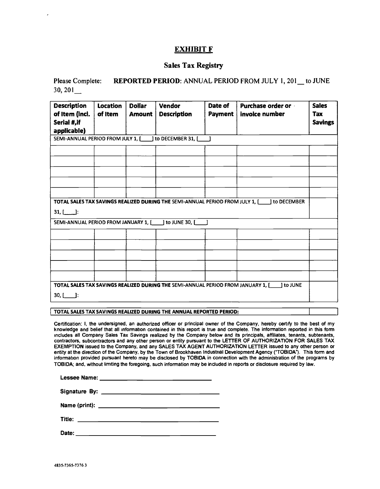#### EXHIBIT F

#### Sales Tax Registry

Please Complete: REPORTED PERIOD: ANNUAL PERIOD FROM JULY 1, 201 to JUNE 30, 201\_

| <b>Description</b><br>of Item (incl.<br>Serial #, if<br>applicable) | <b>Location</b><br>of Item | <b>Dollar</b><br><b>Amount</b> | <b>Vendor</b><br><b>Description</b>                                              | Date of<br>Payment | Purchase order or -<br>invoice number                                                         | <b>Sales</b><br>Tax<br><b>Savings</b> |
|---------------------------------------------------------------------|----------------------------|--------------------------------|----------------------------------------------------------------------------------|--------------------|-----------------------------------------------------------------------------------------------|---------------------------------------|
|                                                                     |                            |                                | SEMI-ANNUAL PERIOD FROM JULY 1, [ ] to DECEMBER 31, [ ]                          |                    |                                                                                               |                                       |
|                                                                     |                            |                                |                                                                                  |                    |                                                                                               |                                       |
|                                                                     |                            |                                |                                                                                  |                    |                                                                                               |                                       |
|                                                                     |                            |                                |                                                                                  |                    |                                                                                               |                                       |
|                                                                     |                            |                                |                                                                                  |                    |                                                                                               |                                       |
|                                                                     |                            |                                |                                                                                  |                    |                                                                                               |                                       |
| $31,$ $\Box$ :                                                      |                            |                                |                                                                                  |                    | TOTAL SALES TAX SAVINGS REALIZED DURING THE SEMI-ANNUAL PERIOD FROM JULY 1, [100] to DECEMBER |                                       |
| SEMI-ANNUAL PERIOD FROM JANUARY 1. [                                |                            |                                | ] to JUNE 30, [                                                                  |                    |                                                                                               |                                       |
|                                                                     |                            |                                |                                                                                  |                    |                                                                                               |                                       |
|                                                                     |                            |                                |                                                                                  |                    |                                                                                               |                                       |
|                                                                     |                            |                                |                                                                                  |                    |                                                                                               |                                       |
|                                                                     |                            |                                |                                                                                  |                    |                                                                                               |                                       |
|                                                                     |                            |                                |                                                                                  |                    |                                                                                               |                                       |
|                                                                     |                            |                                |                                                                                  |                    |                                                                                               |                                       |
| $30,$ [ ]:                                                          |                            |                                | TOTAL SALES TAX SAVINGS REALIZED DURING THE SEMI-ANNUAL PERIOD FROM JANUARY 1, [ |                    | 1 to JUNE                                                                                     |                                       |

TOTAL SALES TAX SAVINGS REALIZED DURING THE ANNUAL REPORTED PERIOD:

Certification: I, the undersigned, an authorized officer or principal owner of the Company, hereby certify to the best of my knowledge and belief that all information contained in this report is true and complete. The information reported in this form includes all Company Sales Tax Savings realized by the Company below and its principals, affiliates, tenants, subtenants, contractors, subcontractors and any other person or entity pursuant to the LETTER OF AUTHORIZATION FOR SALES TAX EXEMPTION issued to the Company, and any SALES TAX AGENT AUTHORIZATION LETTER issued to any other person or<br>entity at the direction of the Company, by the Town of Brookhaven Industrial Development Agency ("TOBIDA"). This f information provided pursuant hereto may be disclosed by TOBIDA in connection with the administration of the programs by TOBIDA; and, without limiting the foregoing, such information may be included in reports or disclosure required by law.

J

Lessee Name:

Signature By:

Name (print):

Title:

Date: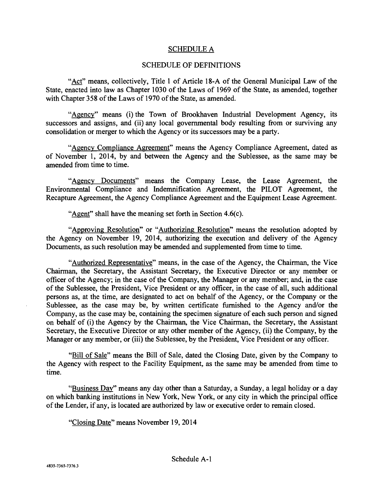# SCHEDULE A

# SCHEDULE OF DEFINITIONS

"Act" means, collectively, Title 1 of Article 18 -A of the General Municipal Law of the State, enacted into law as Chapter 1030 of the Laws of 1969 of the State, as amended, together with Chapter 358 of the Laws of 1970 of the State, as amended.

"Agency" means (i) the Town of Brookhaven Industrial Development Agency, its successors and assigns, and (ii) any local governmental body resulting from or surviving any consolidation or merger to which the Agency or its successors may be a party.

"Agency Compliance Agreement" means the Agency Compliance Agreement, dated as of November 1, 2014, by and between the Agency and the Sublessee, as the same may be amended from time to time.

"Agency Documents" means the Company Lease, the Lease Agreement, the Environmental Compliance and Indemnification Agreement, the PILOT Agreement, the Recapture Agreement, the Agency Compliance Agreement and the Equipment Lease Agreement.

"Agent" shall have the meaning set forth in Section 4.6(c).

"Approving Resolution" or "Authorizing Resolution" means the resolution adopted by the Agency on November 19, 2014, authorizing the execution and delivery of the Agency Documents, as such resolution may be amended and supplemented from time to time.

"Authorized Representative" means, in the case of the Agency, the Chairman, the Vice Chairman, the Secretary, the Assistant Secretary, the Executive Director or any member or officer of the Agency; in the case of the Company, the Manager or any member; and, in the case of the Sublessee, the President, Vice President or any officer, in the case of all, such additional persons as, at the time, are designated to act on behalf of the Agency, or the Company or the Sublessee, as the case may be, by written certificate furnished to the Agency and/or the Company, as the case may be, containing the specimen signature of each such person and signed on behalf of (i) the Agency by the Chairman, the Vice Chairman, the Secretary, the Assistant Secretary, the Executive Director or any other member of the Agency, (ii) the Company, by the Manager or any member, or (iii) the Sublessee, by the President, Vice President or any officer.

"Bill of Sale" means the Bill of Sale, dated the Closing Date, given by the Company to the Agency with respect to the Facility Equipment, as the same may be amended from time to time.

"Business Day" means any day other than a Saturday, a Sunday, a legal holiday or a day on which banking institutions in New York, New York, or any city in which the principal office of the Lender, if any, is located are authorized by law or executive order to remain closed.

"Closing Date" means November 19, 2014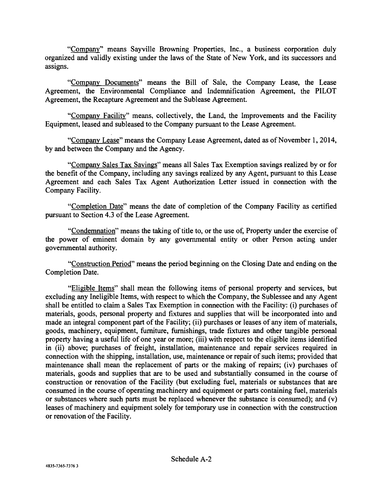"Company" means Sayville Browning Properties, Inc., a business corporation duly organized and validly existing under the laws of the State of New York, and its successors and assigns.

"Company Documents" means the Bill of Sale, the Company Lease, the Lease Agreement, the Environmental Compliance and Indemnification Agreement, the PILOT Agreement, the Recapture Agreement and the Sublease Agreement.

"Company Facility" means, collectively, the Land, the Improvements and the Facility Equipment, leased and subleased to the Company pursuant to the Lease Agreement.

"Company Lease" means the Company Lease Agreement, dated as of November 1, 2014, by and between the Company and the Agency.

"Company Sales Tax Savings" means all Sales Tax Exemption savings realized by or for the benefit of the Company, including any savings realized by any Agent, pursuant to this Lease Agreement and each Sales Tax Agent Authorization Letter issued in connection with the Company Facility.

"Completion Date" means the date of completion of the Company Facility as certified pursuant to Section 4.3 of the Lease Agreement.

"Condemnation" means the taking of title to, or the use of, Property under the exercise of the power of eminent domain by any governmental entity or other Person acting under governmental authority.

"Construction Period" means the period beginning on the Closing Date and ending on the Completion Date.

"Eligible Items" shall mean the following items of personal property and services, but excluding any Ineligible Items, with respect to which the Company, the Sublessee and any Agent shall be entitled to claim a Sales Tax Exemption in connection with the Facility: (i) purchases of materials, goods, personal property and fixtures and supplies that will be incorporated into and made an integral component part of the Facility; (ii) purchases or leases of any item of materials, goods, machinery, equipment, furniture, furnishings, trade fixtures and other tangible personal property having a useful life of one year or more; (iii) with respect to the eligible items identified in (ii) above; purchases of freight, installation, maintenance and repair services required in connection with the shipping, installation, use, maintenance or repair of such items; provided that maintenance shall mean the replacement of parts or the making of repairs; (iv) purchases of materials, goods and supplies that are to be used and substantially consumed in the course of construction or renovation of the Facility (but excluding fuel, materials or substances that are consumed in the course of operating machinery and equipment or parts containing fuel, materials or substances where such parts must be replaced whenever the substance is consumed); and (v) leases of machinery and equipment solely for temporary use in connection with the construction or renovation of the Facility.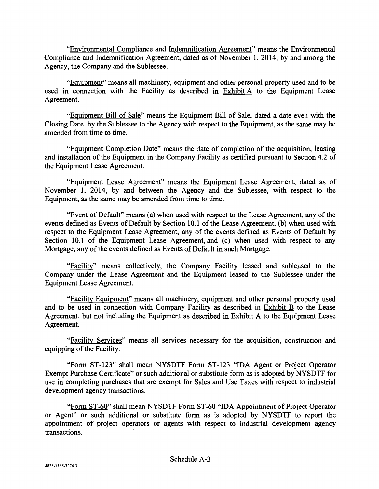"Environmental Compliance and Indemnification Agreement" means the Environmental Compliance and Indemnification Agreement, dated as of November 1, 2014, by and among the Agency, the Company and the Sublessee.

"Equipment" means all machinery, equipment and other personal property used and to be used in connection with the Facility as described in Exhibit A to the Equipment Lease Agreement.

"Equipment Bill of Sale" means the Equipment Bill of Sale, dated a date even with the Closing Date, by the Sublessee to the Agency with respect to the Equipment, as the same may be amended from time to time.

"Equipment Completion Date" means the date of completion of the acquisition, leasing and installation of the Equipment in the Company Facility as certified pursuant to Section 4.2 of the Equipment Lease Agreement.

"Equipment Lease Agreement" means the Equipment Lease Agreement, dated as of November 1, 2014, by and between the Agency and the Sublessee, with respect to the Equipment, as the same may be amended from time to time.

"Event of Default" means (a) when used with respect to the Lease Agreement, any of the events defined as Events of Default by Section 10.1 of the Lease Agreement, (b) when used with respect to the Equipment Lease Agreement, any of the events defined as Events of Default by Section 10.1 of the Equipment Lease Agreement, and (c) when used with respect to any Mortgage, any of the events defined as Events of Default in such Mortgage.

"Facility" means collectively, the Company Facility leased and subleased to the Company under the Lease Agreement and the Equipment leased to the Sublessee under the Equipment Lease Agreement.

"Facility Equipment" means all machinery, equipment and other personal property used and to be used in connection with Company Facility as described in Exhibit B to the Lease Agreement, but not including the Equipment as described in Exhibit A to the Equipment Lease Agreement.

"Facility Services" means all services necessary for the acquisition, construction and equipping of the Facility.

"Form ST-123" shall mean NYSDTF Form ST-123 "IDA Agent or Project Operator Exempt Purchase Certificate" or such additional or substitute form as is adopted by NYSDTF for use in completing purchases that are exempt for Sales and Use Taxes with respect to industrial development agency transactions.

"Form ST-60" shall mean NYSDTF Form ST-60 "IDA Appointment of Project Operator or Agent" or such additional or substitute form as is adopted by NYSDTF to report the appointment of project operators or agents with respect to industrial development agency transactions.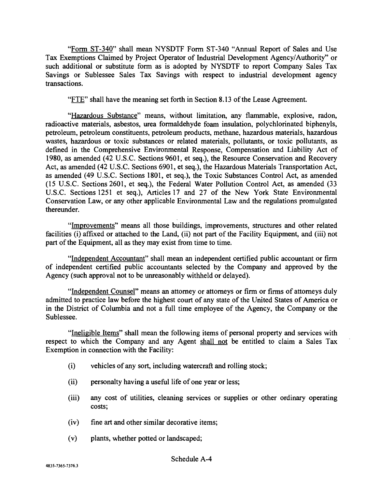"Form ST-340" shall mean NYSDTF Form ST-340 "Annual Report of Sales and Use Tax Exemptions Claimed by Project Operator of Industrial Development Agency/Authority" or such additional or substitute form as is adopted by NYSDTF to report Company Sales Tax Savings or Sublessee Sales Tax Savings with respect to industrial development agency transactions.

"FTE" shall have the meaning set forth in Section 8.13 of the Lease Agreement.

"Hazardous Substance" means, without limitation, any flammable, explosive, radon, radioactive materials, asbestos, urea formaldehyde foam insulation, polychlorinated biphenyls, petroleum, petroleum constituents, petroleum products, methane, hazardous materials, hazardous wastes, hazardous or toxic substances or related materials, pollutants, or toxic pollutants, as defined in the Comprehensive Environmental Response, Compensation and Liability Act of 1980, as amended (42 U.S.C. Sections 9601, et seq.), the Resource Conservation and Recovery Act, as amended (42 U.S.C. Sections 6901, et seq.), the Hazardous Materials Transportation Act, as amended (49 U.S.C. Sections 1801, et seq.), the Toxic Substances Control Act, as amended (15 U.S.C. Sections 2601, et seq.), the Federal Water Pollution Control Act, as amended (33 U.S.C. Sections 1251 et seq.), Articles 17 and 27 of the New York State Environmental Conservation Law, or any other applicable Environmental Law and the regulations promulgated thereunder.

"Improvements" means all those buildings, improvements, structures and other related facilities (i) affixed or attached to the Land, (ii) not part of the Facility Equipment, and (iii) not part of the Equipment, all as they may exist from time to time.

"Independent Accountant" shall mean an independent certified public accountant or firm of independent certified public accountants selected by the Company and approved by the Agency (such approval not to be unreasonably withheld or delayed).

"Independent Counsel" means an attorney or attorneys or firm or firms of attorneys duly admitted to practice law before the highest court of any state of the United States of America or in the District of Columbia and not a full time employee of the Agency, the Company or the Sublessee.

"Ineligible Items" shall mean the following items of personal property and services with respect to which the Company and any Agent shall not be entitled to claim a Sales Tax Exemption in connection with the Facility:

- (i) vehicles of any sort, including watercraft and rolling stock;
- (ii) personalty having a useful life of one year or less;
- (iii) any cost of utilities, cleaning services or supplies or other ordinary operating costs;
- (iv) fine art and other similar decorative items;
- (v) plants, whether potted or landscaped;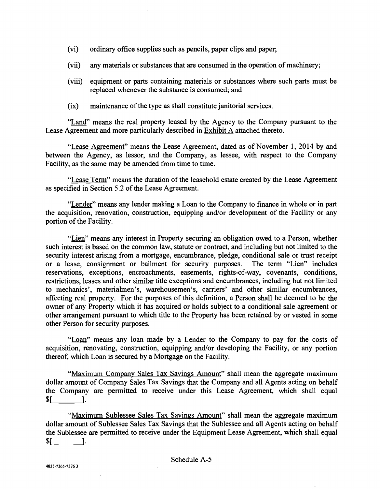- (vi) ordinary office supplies such as pencils, paper clips and paper;
- (vii) any materials or substances that are consumed in the operation of machinery;
- (viii) equipment or parts containing materials or substances where such parts must be replaced whenever the substance is consumed; and
- (ix) maintenance of the type as shall constitute janitorial services.

"Land" means the real property leased by the Agency to the Company pursuant to the Lease Agreement and more particularly described in Exhibit A attached thereto.

"Lease Agreement" means the Lease Agreement, dated as of November 1, 2014 by and between the Agency, as lessor, and the Company, as lessee, with respect to the Company Facility, as the same may be amended from time to time.

"Lease Term" means the duration of the leasehold estate created by the Lease Agreement as specified in Section 5.2 of the Lease Agreement.

"Lender" means any lender making a Loan to the Company to finance in whole or in part the acquisition, renovation, construction, equipping and/or development of the Facility or any portion of the Facility.

"Lien" means any interest in Property securing an obligation owed to a Person, whether such interest is based on the common law, statute or contract, and including but not limited to the security interest arising from a mortgage, encumbrance, pledge, conditional sale or trust receipt or a lease, consignment or bailment for security purposes. The term "Lien" includes reservations, exceptions, encroachments, easements, rights-of-way, covenants, conditions, restrictions, leases and other similar title exceptions and encumbrances, including but not limited to mechanics', materialmen's, warehousemen's, carriers' and other similar encumbrances, affecting real property. For the purposes of this definition, a Person shall be deemed to be the owner of any Property which it has acquired or holds subject to a conditional sale agreement or other arrangement pursuant to which title to the Property has been retained by or vested in some other Person for security purposes.

"Loan" means any loan made by a Lender to the Company to pay for the costs of acquisition, renovating, construction, equipping and/or developing the Facility, or any portion thereof, which Loan is secured by a Mortgage on the Facility.

"Maximum Company Sales Tax Savings Amount" shall mean the aggregate maximum dollar amount of Company Sales Tax Savings that the Company and all Agents acting on behalf the Company are permitted to receive under this Lease Agreement, which shall equal  $S_1$  1.

"Maximum Sublessee Sales Tax Savings Amount" shall mean the aggregate maximum dollar amount of Sublessee Sales Tax Savings that the Sublessee and all Agents acting on behalf the Sublessee are permitted to receive under the Equipment Lease Agreement, which shall equal \$1 1.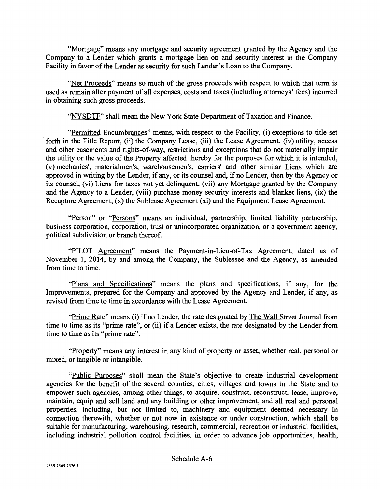"Mortgage" means any mortgage and security agreement granted by the Agency and the Company to a Lender which grants a mortgage lien on and security interest in the Company Facility in favor of the Lender as security for such Lender's Loan to the Company.

"Net Proceeds" means so much of the gross proceeds with respect to which that term is used as remain after payment of all expenses, costs and taxes (including attorneys' fees) incurred in obtaining such gross proceeds.

"NYSDTF" shall mean the New York State Department of Taxation and Finance.

"Permitted Encumbrances" means, with respect to the Facility, (i) exceptions to title set forth in the Title Report, (ii) the Company Lease, (iii) the Lease Agreement, (iv) utility, access and other easements and rights-of-way, restrictions and exceptions that do not materially impair the utility or the value of the Property affected thereby for the purposes for which it is intended, (v) mechanics', materialmen's, warehousemen's, carriers' and other similar Liens which are approved in writing by the Lender, if any, or its counsel and, if no Lender, then by the Agency or its counsel, (vi) Liens for taxes not yet delinquent, (vii) any Mortgage granted by the Company and the Agency to a Lender, (viii) purchase money security interests and blanket liens, (ix) the Recapture Agreement, (x) the Sublease Agreement (xi) and the Equipment Lease Agreement.

"Person" or "Persons" means an individual, partnership, limited liability partnership, business corporation, corporation, trust or unincorporated organization, or a government agency, political subdivision or branch thereof.

"PILOT Agreement" means the Payment-in-Lieu-of-Tax Agreement, dated as of November 1, 2014, by and among the Company, the Sublessee and the Agency, as amended from time to time.

"Plans and Specifications" means the plans and specifications, if any, for the Improvements, prepared for the Company and approved by the Agency and Lender, if any, as revised from time to time in accordance with the Lease Agreement.

"Prime Rate" means (i) if no Lender, the rate designated by The Wall Street Journal from time to time as its "prime rate", or (ii) if a Lender exists, the rate designated by the Lender from time to time as its "prime rate".

"Property" means any interest in any kind of property or asset, whether real, personal or mixed, or tangible or intangible.

"Public Purposes" shall mean the State's objective to create industrial development agencies for the benefit of the several counties, cities, villages and towns in the State and to empower such agencies, among other things, to acquire, construct, reconstruct, lease, improve, maintain, equip and sell land and any building or other improvement, and all real and personal properties, including, but not limited to, machinery and equipment deemed necessary in connection therewith, whether or not now in existence or under construction, which shall be suitable for manufacturing, warehousing, research, commercial, recreation or industrial facilities, including industrial pollution control facilities, in order to advance job opportunities, health,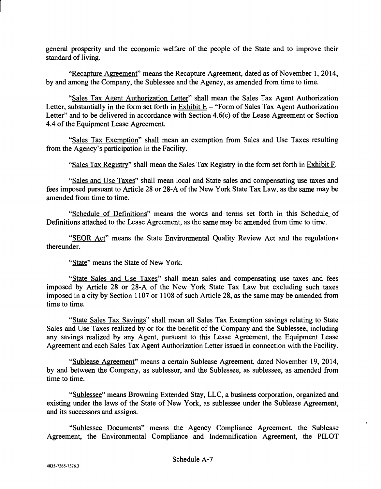general prosperity and the economic welfare of the people of the State and to improve their standard of living.

"Recapture Agreement" means the Recapture Agreement, dated as of November 1, 2014, by and among the Company, the Sublessee and the Agency, as amended from time to time.

"Sales Tax Agent Authorization Letter" shall mean the Sales Tax Agent Authorization Letter, substantially in the form set forth in Exhibit  $E -$  "Form of Sales Tax Agent Authorization Letter" and to be delivered in accordance with Section 4.6(c) of the Lease Agreement or Section 4.4 of the Equipment Lease Agreement.

"Sales Tax Exemption" shall mean an exemption from Sales and Use Taxes resulting from the Agency's participation in the Facility.

"Sales Tax Registry" shall mean the Sales Tax Registry in the form set forth in Exhibit F.

"Sales and Use Taxes" shall mean local and State sales and compensating use taxes and fees imposed pursuant to Article 28 or 28 -A of the New York State Tax Law, as the same may be amended from time to time.

"Schedule of Definitions" means the words and terms set forth in this Schedule of Definitions attached to the Lease Agreement, as the same may be amended from time to time.

"SEQR Act" means the State Environmental Quality Review Act and the regulations thereunder.

"State" means the State of New York.

"State Sales and Use Taxes" shall mean sales and compensating use taxes and fees imposed by Article 28 or 28-A of the New York State Tax Law but excluding such taxes imposed in a city by Section 1107 or 1108 of such Article 28, as the same may be amended from time to time.

"State Sales Tax Savings" shall mean all Sales Tax Exemption savings relating to State Sales and Use Taxes realized by or for the benefit of the Company and the Sublessee, including any savings realized by any Agent, pursuant to this Lease Agreement, the Equipment Lease Agreement and each Sales Tax Agent Authorization Letter issued in connection with the Facility.

"Sublease Agreement" means a certain Sublease Agreement, dated November 19, 2014, by and between the Company, as sublessor, and the Sublessee, as sublessee, as amended from time to time.

"Sublessee" means Browning Extended Stay, LLC, a business corporation, organized and existing under the laws of the State of New York, as sublessee under the Sublease Agreement, and its successors and assigns.

"Sublessee Documents" means the Agency Compliance Agreement, the Sublease Agreement, the Environmental Compliance and Indemnification Agreement, the PILOT